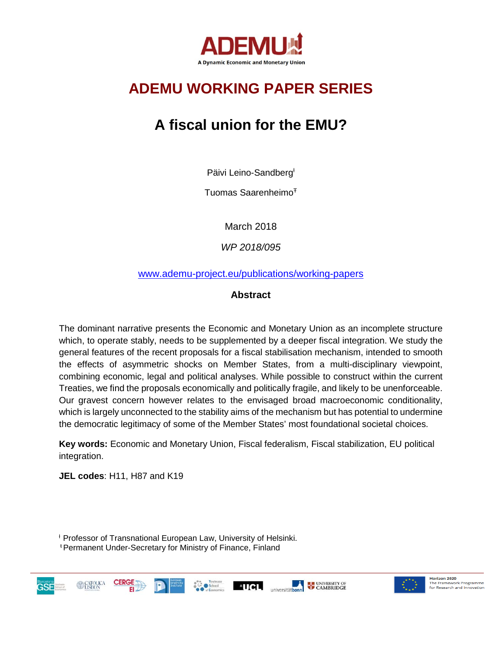

# **ADEMU WORKING PAPER SERIES**

# **A fiscal union for the EMU?**

Päivi Leino-Sandberg<sup>ł</sup>

Tuomas Saarenheimo<sup>™</sup>

March 2018

*WP 2018/095*

[www.ademu-project.eu/publications/working-papers](http://www.ademu-project.eu/publications/working-papers)

## **Abstract**

The dominant narrative presents the Economic and Monetary Union as an incomplete structure which, to operate stably, needs to be supplemented by a deeper fiscal integration. We study the general features of the recent proposals for a fiscal stabilisation mechanism, intended to smooth the effects of asymmetric shocks on Member States, from a multi-disciplinary viewpoint, combining economic, legal and political analyses. While possible to construct within the current Treaties, we find the proposals economically and politically fragile, and likely to be unenforceable. Our gravest concern however relates to the envisaged broad macroeconomic conditionality, which is largely unconnected to the stability aims of the mechanism but has potential to undermine the democratic legitimacy of some of the Member States' most foundational societal choices.

**Key words:** Economic and Monetary Union, Fiscal federalism, Fiscal stabilization, EU political integration.

**JEL codes**: H11, H87 and K19

<sup>ƚ</sup> Professor of Transnational European Law, University of Helsinki.

<sup>ŧ</sup> Permanent Under-Secretary for Ministry of Finance, Finland







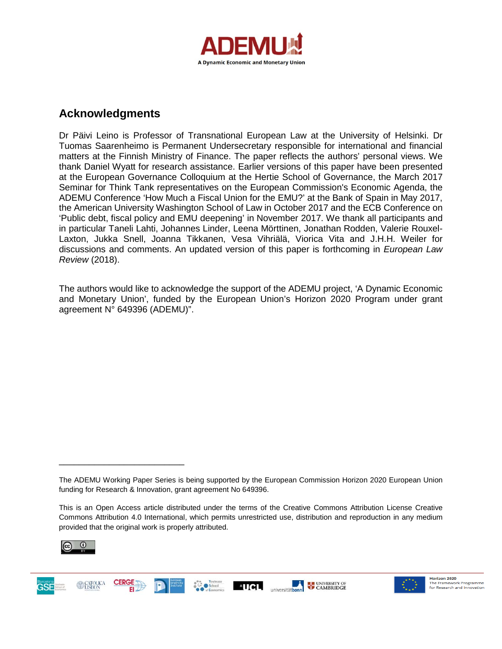

# **Acknowledgments**

Dr Päivi Leino is Professor of Transnational European Law at the University of Helsinki. Dr Tuomas Saarenheimo is Permanent Undersecretary responsible for international and financial matters at the Finnish Ministry of Finance. The paper reflects the authors' personal views. We thank Daniel Wyatt for research assistance. Earlier versions of this paper have been presented at the European Governance Colloquium at the Hertie School of Governance, the March 2017 Seminar for Think Tank representatives on the European Commission's Economic Agenda, the ADEMU Conference 'How Much a Fiscal Union for the EMU?' at the Bank of Spain in May 2017, the American University Washington School of Law in October 2017 and the ECB Conference on 'Public debt, fiscal policy and EMU deepening' in November 2017. We thank all participants and in particular Taneli Lahti, Johannes Linder, Leena Mörttinen, Jonathan Rodden, Valerie Rouxel-Laxton, Jukka Snell, Joanna Tikkanen, Vesa Vihriälä, Viorica Vita and J.H.H. Weiler for discussions and comments. An updated version of this paper is forthcoming in *European Law Review* (2018).

The authors would like to acknowledge the support of the ADEMU project, 'A Dynamic Economic and Monetary Union', funded by the European Union's Horizon 2020 Program under grant agreement N° 649396 (ADEMU)".

This is an Open Access article distributed under the terms of the Creative Commons Attribution License Creative Commons Attribution 4.0 International, which permits unrestricted use, distribution and reproduction in any medium provided that the original work is properly attributed.



\_\_\_\_\_\_\_\_\_\_\_\_\_\_\_\_\_\_\_\_\_\_\_\_\_





The ADEMU Working Paper Series is being supported by the European Commission Horizon 2020 European Union funding for Research & Innovation, grant agreement No 649396.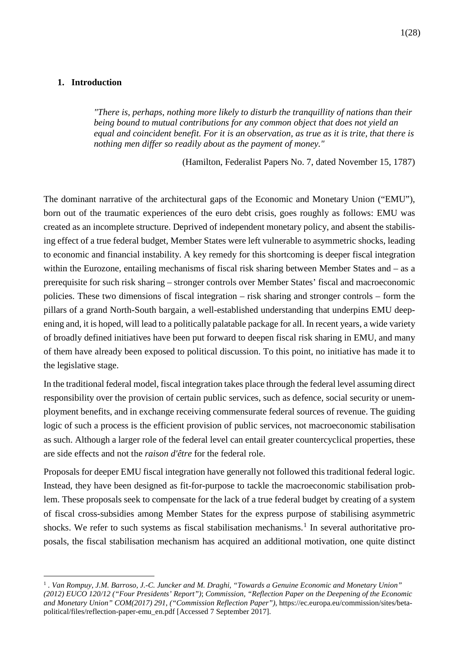#### **1. Introduction**

*"There is, perhaps, nothing more likely to disturb the tranquillity of nations than their being bound to mutual contributions for any common object that does not yield an equal and coincident benefit. For it is an observation, as true as it is trite, that there is nothing men differ so readily about as the payment of money."*

(Hamilton, Federalist Papers No. 7, dated November 15, 1787)

The dominant narrative of the architectural gaps of the Economic and Monetary Union ("EMU"), born out of the traumatic experiences of the euro debt crisis, goes roughly as follows: EMU was created as an incomplete structure. Deprived of independent monetary policy, and absent the stabilising effect of a true federal budget, Member States were left vulnerable to asymmetric shocks, leading to economic and financial instability. A key remedy for this shortcoming is deeper fiscal integration within the Eurozone, entailing mechanisms of fiscal risk sharing between Member States and – as a prerequisite for such risk sharing – stronger controls over Member States' fiscal and macroeconomic policies. These two dimensions of fiscal integration – risk sharing and stronger controls – form the pillars of a grand North-South bargain, a well-established understanding that underpins EMU deepening and, it is hoped, will lead to a politically palatable package for all. In recent years, a wide variety of broadly defined initiatives have been put forward to deepen fiscal risk sharing in EMU, and many of them have already been exposed to political discussion. To this point, no initiative has made it to the legislative stage.

In the traditional federal model, fiscal integration takes place through the federal level assuming direct responsibility over the provision of certain public services, such as defence, social security or unemployment benefits, and in exchange receiving commensurate federal sources of revenue. The guiding logic of such a process is the efficient provision of public services, not macroeconomic stabilisation as such. Although a larger role of the federal level can entail greater countercyclical properties, these are side effects and not the *raison d'être* for the federal role.

Proposals for deeper EMU fiscal integration have generally not followed this traditional federal logic. Instead, they have been designed as fit-for-purpose to tackle the macroeconomic stabilisation problem. These proposals seek to compensate for the lack of a true federal budget by creating of a system of fiscal cross-subsidies among Member States for the express purpose of stabilising asymmetric shocks. We refer to such systems as fiscal stabilisation mechanisms.<sup>[1](#page-2-0)</sup> In several authoritative proposals, the fiscal stabilisation mechanism has acquired an additional motivation, one quite distinct

<span id="page-2-0"></span> <sup>1</sup> *. Van Rompuy, J.M. Barroso, J.-C. Juncker and M. Draghi, "Towards a Genuine Economic and Monetary Union" (2012) EUCO 120/12 ("Four Presidents' Report")*; *Commission, "Reflection Paper on the Deepening of the Economic and Monetary Union" COM(2017) 291*, *("Commission Reflection Paper")*, https://ec.europa.eu/commission/sites/betapolitical/files/reflection-paper-emu\_en.pdf [Accessed 7 September 2017].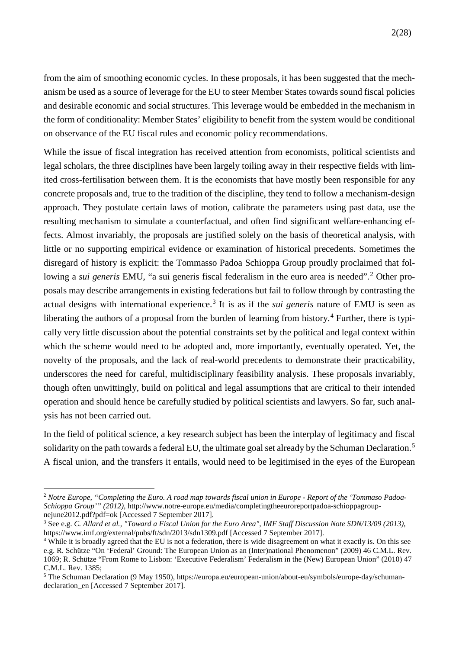from the aim of smoothing economic cycles. In these proposals, it has been suggested that the mechanism be used as a source of leverage for the EU to steer Member States towards sound fiscal policies and desirable economic and social structures. This leverage would be embedded in the mechanism in the form of conditionality: Member States' eligibility to benefit from the system would be conditional on observance of the EU fiscal rules and economic policy recommendations.

While the issue of fiscal integration has received attention from economists, political scientists and legal scholars, the three disciplines have been largely toiling away in their respective fields with limited cross-fertilisation between them. It is the economists that have mostly been responsible for any concrete proposals and, true to the tradition of the discipline, they tend to follow a mechanism-design approach. They postulate certain laws of motion, calibrate the parameters using past data, use the resulting mechanism to simulate a counterfactual, and often find significant welfare-enhancing effects. Almost invariably, the proposals are justified solely on the basis of theoretical analysis, with little or no supporting empirical evidence or examination of historical precedents. Sometimes the disregard of history is explicit: the Tommasso Padoa Schioppa Group proudly proclaimed that following a *sui generis* EMU, "a sui generis fiscal federalism in the euro area is needed".<sup>[2](#page-3-0)</sup> Other proposals may describe arrangements in existing federations but fail to follow through by contrasting the actual designs with international experience.[3](#page-3-1) It is as if the *sui generis* nature of EMU is seen as liberating the authors of a proposal from the burden of learning from history.<sup>[4](#page-3-2)</sup> Further, there is typically very little discussion about the potential constraints set by the political and legal context within which the scheme would need to be adopted and, more importantly, eventually operated. Yet, the novelty of the proposals, and the lack of real-world precedents to demonstrate their practicability, underscores the need for careful, multidisciplinary feasibility analysis. These proposals invariably, though often unwittingly, build on political and legal assumptions that are critical to their intended operation and should hence be carefully studied by political scientists and lawyers. So far, such analysis has not been carried out.

In the field of political science, a key research subject has been the interplay of legitimacy and fiscal solidarity on the path towards a federal EU, the ultimate goal set already by the Schuman Declaration.<sup>[5](#page-3-3)</sup> A fiscal union, and the transfers it entails, would need to be legitimised in the eyes of the European

<span id="page-3-0"></span> <sup>2</sup> *Notre Europe, "Completing the Euro. A road map towards fiscal union in Europe - Report of the 'Tommaso Padoa-Schioppa Group'" (2012)*, http://www.notre-europe.eu/media/completingtheeuroreportpadoa-schioppagroupnejune2012.pdf?pdf=ok [Accessed 7 September 2017].

<span id="page-3-1"></span><sup>3</sup> See e.g. *C. Allard et al., "Toward a Fiscal Union for the Euro Area", IMF Staff Discussion Note SDN/13/09 (2013)*, https://www.imf.org/external/pubs/ft/sdn/2013/sdn1309.pdf [Accessed 7 September 2017]. 4 While it is broadly agreed that the EU is not a federation, there is wide disagreement on what it exactly is. On this see

<span id="page-3-2"></span>e.g. R. Schütze "On 'Federal' Ground: The European Union as an (Inter)national Phenomenon" (2009) 46 C.M.L. Rev. 1069; R. Schütze "From Rome to Lisbon: 'Executive Federalism' Federalism in the (New) European Union" (2010) 47 C.M.L. Rev. 1385;<br><sup>5</sup> The Schuman Declaration (9 May 1950), https://europa.eu/european-union/about-eu/symbols/europe-day/schuman-

<span id="page-3-3"></span>declaration\_en [Accessed 7 September 2017].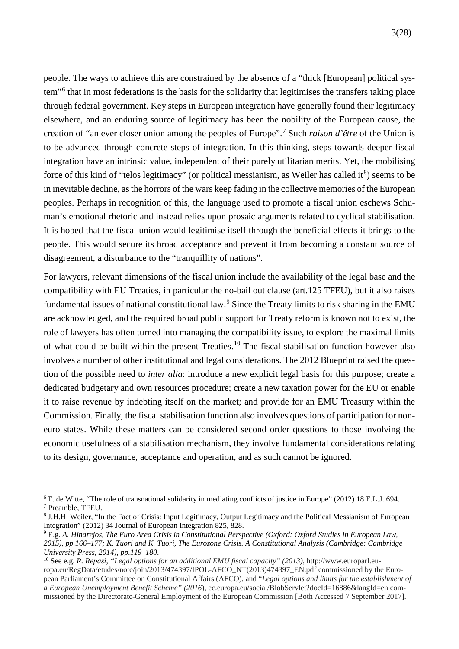people. The ways to achieve this are constrained by the absence of a "thick [European] political system"[6](#page-4-0) that in most federations is the basis for the solidarity that legitimises the transfers taking place through federal government. Key steps in European integration have generally found their legitimacy elsewhere, and an enduring source of legitimacy has been the nobility of the European cause, the creation of "an ever closer union among the peoples of Europe".[7](#page-4-1) Such *raison d'être* of the Union is to be advanced through concrete steps of integration. In this thinking, steps towards deeper fiscal integration have an intrinsic value, independent of their purely utilitarian merits. Yet, the mobilising force of this kind of "telos legitimacy" (or political messianism, as Weiler has called it $\delta$ ) seems to be in inevitable decline, as the horrors of the wars keep fading in the collective memories of the European peoples. Perhaps in recognition of this, the language used to promote a fiscal union eschews Schuman's emotional rhetoric and instead relies upon prosaic arguments related to cyclical stabilisation. It is hoped that the fiscal union would legitimise itself through the beneficial effects it brings to the people. This would secure its broad acceptance and prevent it from becoming a constant source of disagreement, a disturbance to the "tranquillity of nations".

For lawyers, relevant dimensions of the fiscal union include the availability of the legal base and the compatibility with EU Treaties, in particular the no-bail out clause (art.125 TFEU), but it also raises fundamental issues of national constitutional law.<sup>[9](#page-4-3)</sup> Since the Treaty limits to risk sharing in the EMU are acknowledged, and the required broad public support for Treaty reform is known not to exist, the role of lawyers has often turned into managing the compatibility issue, to explore the maximal limits of what could be built within the present Treaties.[10](#page-4-4) The fiscal stabilisation function however also involves a number of other institutional and legal considerations. The 2012 Blueprint raised the question of the possible need to *inter alia*: introduce a new explicit legal basis for this purpose; create a dedicated budgetary and own resources procedure; create a new taxation power for the EU or enable it to raise revenue by indebting itself on the market; and provide for an EMU Treasury within the Commission. Finally, the fiscal stabilisation function also involves questions of participation for noneuro states. While these matters can be considered second order questions to those involving the economic usefulness of a stabilisation mechanism, they involve fundamental considerations relating to its design, governance, acceptance and operation, and as such cannot be ignored.

<span id="page-4-0"></span> <sup>6</sup> F. de Witte, "The role of transnational solidarity in mediating conflicts of justice in Europe" (2012) 18 E.L.J. 694. <sup>7</sup> Preamble, TFEU.

<span id="page-4-2"></span><span id="page-4-1"></span><sup>8</sup> J.H.H. Weiler, "In the Fact of Crisis: Input Legitimacy, Output Legitimacy and the Political Messianism of European Integration" (2012) 34 Journal of European Integration 825, 828.

<span id="page-4-3"></span><sup>9</sup> E.g. *A. Hinarejos, The Euro Area Crisis in Constitutional Perspective (Oxford: Oxford Studies in European Law, 2015), pp.166–177; K. Tuori and K. Tuori, The Eurozone Crisis. A Constitutional Analysis (Cambridge: Cambridge University Press, 2014), pp.119–180*.

<span id="page-4-4"></span><sup>10</sup> See e.g. *R. Repasi, "Legal options for an additional EMU fiscal capacity" (2013)*, [http://www.europarl.eu](http://www.europarl.europa.eu/RegData/etudes/note/join/2013/474397/IPOL-AFCO_NT(2013)474397_EN.pdf)[ropa.eu/RegData/etudes/note/join/2013/474397/IPOL-AFCO\\_NT\(2013\)474397\\_EN.pdf](http://www.europarl.europa.eu/RegData/etudes/note/join/2013/474397/IPOL-AFCO_NT(2013)474397_EN.pdf) commissioned by the European Parliament's Committee on Constitutional Affairs (AFCO), and "*Legal options and limits for the establishment of a European Unemployment Benefit Scheme" (2016*), ec.europa.eu/social/BlobServlet?docId=16886&langId=en commissioned by the Directorate-General Employment of the European Commission [Both Accessed 7 September 2017].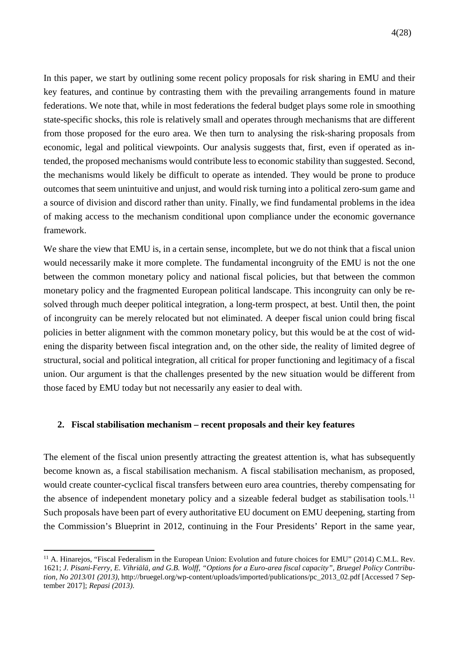In this paper, we start by outlining some recent policy proposals for risk sharing in EMU and their key features, and continue by contrasting them with the prevailing arrangements found in mature federations. We note that, while in most federations the federal budget plays some role in smoothing state-specific shocks, this role is relatively small and operates through mechanisms that are different from those proposed for the euro area. We then turn to analysing the risk-sharing proposals from economic, legal and political viewpoints. Our analysis suggests that, first, even if operated as intended, the proposed mechanisms would contribute less to economic stability than suggested. Second, the mechanisms would likely be difficult to operate as intended. They would be prone to produce outcomes that seem unintuitive and unjust, and would risk turning into a political zero-sum game and a source of division and discord rather than unity. Finally, we find fundamental problems in the idea of making access to the mechanism conditional upon compliance under the economic governance framework.

We share the view that EMU is, in a certain sense, incomplete, but we do not think that a fiscal union would necessarily make it more complete. The fundamental incongruity of the EMU is not the one between the common monetary policy and national fiscal policies, but that between the common monetary policy and the fragmented European political landscape. This incongruity can only be resolved through much deeper political integration, a long-term prospect, at best. Until then, the point of incongruity can be merely relocated but not eliminated. A deeper fiscal union could bring fiscal policies in better alignment with the common monetary policy, but this would be at the cost of widening the disparity between fiscal integration and, on the other side, the reality of limited degree of structural, social and political integration, all critical for proper functioning and legitimacy of a fiscal union. Our argument is that the challenges presented by the new situation would be different from those faced by EMU today but not necessarily any easier to deal with.

#### **2. Fiscal stabilisation mechanism – recent proposals and their key features**

The element of the fiscal union presently attracting the greatest attention is, what has subsequently become known as, a fiscal stabilisation mechanism. A fiscal stabilisation mechanism, as proposed, would create counter-cyclical fiscal transfers between euro area countries, thereby compensating for the absence of independent monetary policy and a sizeable federal budget as stabilisation tools.<sup>[11](#page-5-0)</sup> Such proposals have been part of every authoritative EU document on EMU deepening, starting from the Commission's Blueprint in 2012, continuing in the Four Presidents' Report in the same year,

<span id="page-5-0"></span><sup>&</sup>lt;sup>11</sup> A. Hinarejos, "Fiscal Federalism in the European Union: Evolution and future choices for EMU" (2014) C.M.L. Rev. 1621; *J. Pisani-Ferry, E. Vihriälä, and G.B. Wolff, "Options for a Euro-area fiscal capacity", Bruegel Policy Contribution, No 2013/01 (2013)*, http://bruegel.org/wp-content/uploads/imported/publications/pc\_2013\_02.pdf [Accessed 7 September 2017]; *Repasi (2013)*.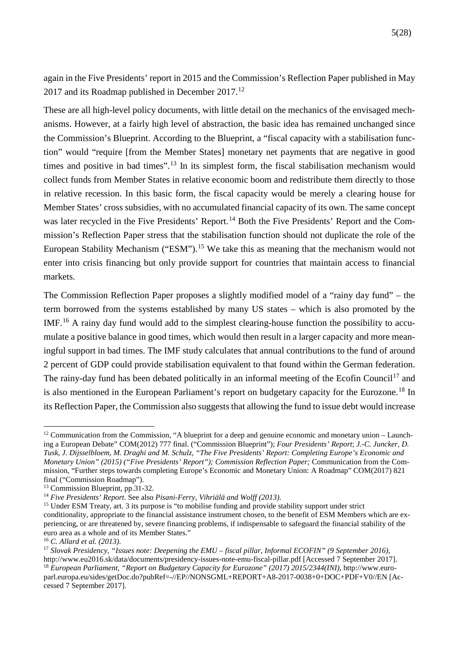again in the Five Presidents' report in 2015 and the Commission's Reflection Paper published in May 2017 and its Roadmap published in December 2017.<sup>[12](#page-6-0)</sup>

These are all high-level policy documents, with little detail on the mechanics of the envisaged mechanisms. However, at a fairly high level of abstraction, the basic idea has remained unchanged since the Commission's Blueprint. According to the Blueprint, a "fiscal capacity with a stabilisation function" would "require [from the Member States] monetary net payments that are negative in good times and positive in bad times".<sup>[13](#page-6-1)</sup> In its simplest form, the fiscal stabilisation mechanism would collect funds from Member States in relative economic boom and redistribute them directly to those in relative recession. In this basic form, the fiscal capacity would be merely a clearing house for Member States' cross subsidies, with no accumulated financial capacity of its own. The same concept was later recycled in the Five Presidents' Report.<sup>[14](#page-6-2)</sup> Both the Five Presidents' Report and the Commission's Reflection Paper stress that the stabilisation function should not duplicate the role of the European Stability Mechanism ("ESM").<sup>[15](#page-6-3)</sup> We take this as meaning that the mechanism would not enter into crisis financing but only provide support for countries that maintain access to financial markets.

The Commission Reflection Paper proposes a slightly modified model of a "rainy day fund" – the term borrowed from the systems established by many US states – which is also promoted by the IMF.[16](#page-6-4) A rainy day fund would add to the simplest clearing-house function the possibility to accumulate a positive balance in good times, which would then result in a larger capacity and more meaningful support in bad times. The IMF study calculates that annual contributions to the fund of around 2 percent of GDP could provide stabilisation equivalent to that found within the German federation. The rainy-day fund has been debated politically in an informal meeting of the Ecofin Council<sup>[17](#page-6-5)</sup> and is also mentioned in the European Parliament's report on budgetary capacity for the Eurozone.<sup>[18](#page-6-6)</sup> In its Reflection Paper, the Commission also suggests that allowing the fund to issue debt would increase

<span id="page-6-0"></span><sup>&</sup>lt;sup>12</sup> Communication from the Commission, "A blueprint for a deep and genuine economic and monetary union – Launching a European Debate" COM(2012) 777 final. ("Commission Blueprint"); *Four Presidents' Report*; *J.-C. Juncker, D. Tusk, J. Dijsselbloem, M. Draghi and M. Schulz, "The Five Presidents' Report: Completing Europe's Economic and Monetary Union" (2015) ("Five Presidents' Report"); Commission Reflection Paper;* Communication from the Commission, "Further steps towards completing Europe's Economic and Monetary Union: A Roadmap" COM(2017) 821 final ("Commission Roadmap"). 13 Commission Blueprint, pp.31-32. 14 *Five Presidents' Report*. See also *Pisani-Ferry, Vihriälä and Wolff (2013)*.

<span id="page-6-1"></span>

<span id="page-6-2"></span>

<span id="page-6-3"></span><sup>&</sup>lt;sup>15</sup> Under ESM Treaty, art. 3 its purpose is "to mobilise funding and provide stability support under strict conditionality, appropriate to the financial assistance instrument chosen, to the benefit of ESM Members which are experiencing, or are threatened by, severe financing problems, if indispensable to safeguard the financial stability of the euro area as a whole and of its Member States."<br><sup>16</sup> C. Allard et al. (2013).

<span id="page-6-4"></span>

<span id="page-6-5"></span><sup>&</sup>lt;sup>17</sup> *Slovak Presidency, "Issues note: Deepening the EMU – fiscal pillar, Informal ECOFIN" (9 September 2016),* http://www.eu2016.sk/data/documents/presidency-issues-note-emu-fiscal-pillar.pdf [Accessed 7 September 2017].

<span id="page-6-6"></span><sup>18</sup> *European Parliament, "Report on Budgetary Capacity for Eurozone" (2017) 2015/2344(INI)*, http://www.europarl.europa.eu/sides/getDoc.do?pubRef=-//EP//NONSGML+REPORT+A8-2017-0038+0+DOC+PDF+V0//EN [Accessed 7 September 2017].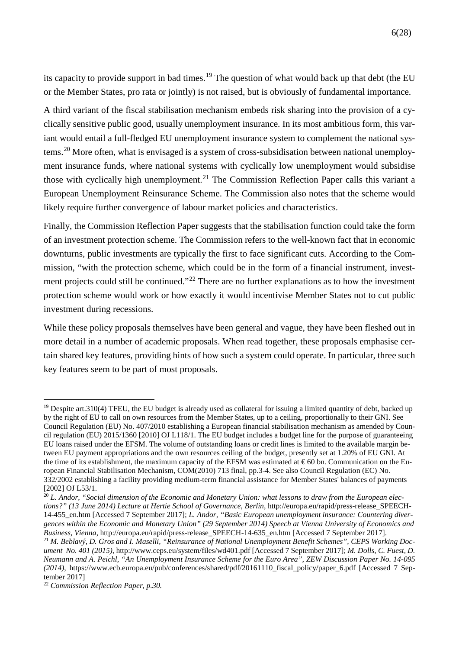its capacity to provide support in bad times.<sup>[19](#page-7-0)</sup> The question of what would back up that debt (the EU or the Member States, pro rata or jointly) is not raised, but is obviously of fundamental importance.

A third variant of the fiscal stabilisation mechanism embeds risk sharing into the provision of a cyclically sensitive public good, usually unemployment insurance. In its most ambitious form, this variant would entail a full-fledged EU unemployment insurance system to complement the national systems.[20](#page-7-1) More often, what is envisaged is a system of cross-subsidisation between national unemployment insurance funds, where national systems with cyclically low unemployment would subsidise those with cyclically high unemployment.<sup>[21](#page-7-2)</sup> The Commission Reflection Paper calls this variant a European Unemployment Reinsurance Scheme. The Commission also notes that the scheme would likely require further convergence of labour market policies and characteristics.

Finally, the Commission Reflection Paper suggests that the stabilisation function could take the form of an investment protection scheme. The Commission refers to the well-known fact that in economic downturns, public investments are typically the first to face significant cuts. According to the Commission, "with the protection scheme, which could be in the form of a financial instrument, invest-ment projects could still be continued."<sup>[22](#page-7-3)</sup> There are no further explanations as to how the investment protection scheme would work or how exactly it would incentivise Member States not to cut public investment during recessions.

While these policy proposals themselves have been general and vague, they have been fleshed out in more detail in a number of academic proposals. When read together, these proposals emphasise certain shared key features, providing hints of how such a system could operate. In particular, three such key features seem to be part of most proposals.

<span id="page-7-1"></span><sup>20</sup> L. Andor, "Social dimension of the Economic and Monetary Union: what lessons to draw from the European elec*tions?" (13 June 2014) Lecture at Hertie School of Governance, Berlin*, http://europa.eu/rapid/press-release\_SPEECH-14-455\_en.htm [Accessed 7 September 2017]; *L. Andor, "Basic European unemployment insurance: Countering divergences within the Economic and Monetary Union" (29 September 2014) Speech at Vienna University of Economics and Business, Vienna*, http://europa.eu/rapid/press-release\_SPEECH-14-635\_en.htm [Accessed 7 September 2017]. <sup>21</sup> M. Beblavý, D. Gros and I. Maselli, "Reinsurance of National Unemployment Benefit Schemes", CEPS Working Doc*ument No. 401 (2015)*, http://www.ceps.eu/system/files/wd401.pdf [Accessed 7 September 2017]; *M. Dolls, C. Fuest, D. Neumann and A. Peichl, "An Unemployment Insurance Scheme for the Euro Area", ZEW Discussion Paper No. 14-095 (2014)*, https://www.ecb.europa.eu/pub/conferences/shared/pdf/20161110\_fiscal\_policy/paper\_6.pdf [Accessed 7 Sep-

<span id="page-7-0"></span> $19$  Despite art.310(4) TFEU, the EU budget is already used as collateral for issuing a limited quantity of debt, backed up by the right of EU to call on own resources from the Member States, up to a ceiling, proportionally to their GNI. See Council Regulation (EU) No. 407/2010 establishing a European financial stabilisation mechanism as amended by Council regulation (EU) 2015/1360 [2010] OJ L118/1. The EU budget includes a budget line for the purpose of guaranteeing EU loans raised under the EFSM. The volume of outstanding loans or credit lines is limited to the available margin between EU payment appropriations and the own resources ceiling of the budget, presently set at 1.20% of EU GNI. At the time of its establishment, the maximum capacity of the EFSM was estimated at  $\epsilon$ 60 bn. Communication on the European Financial Stabilisation Mechanism, COM(2010) 713 final, pp.3-4. See also Council Regulation (EC) No. 332/2002 establishing a facility providing medium-term financial assistance for Member States' balances of payments [2002] OJ L53/1.

<span id="page-7-2"></span>tember 2017]

<span id="page-7-3"></span><sup>22</sup> *Commission Reflection Paper, p.30.*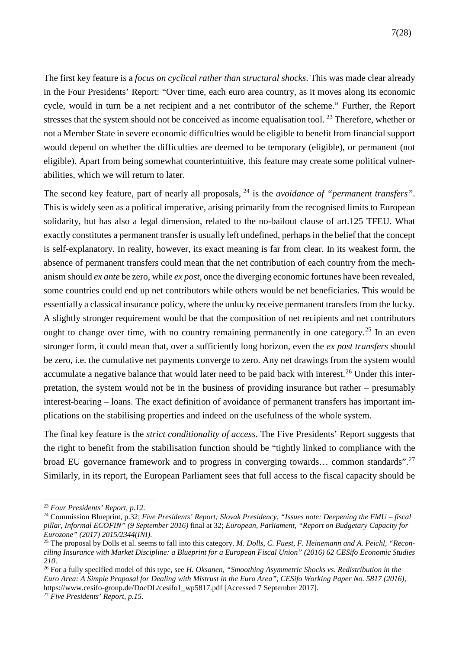The first key feature is a *focus on cyclical rather than structural shocks*. This was made clear already in the Four Presidents' Report: "Over time, each euro area country, as it moves along its economic cycle, would in turn be a net recipient and a net contributor of the scheme." Further, the Report stresses that the system should not be conceived as income equalisation tool.<sup>[23](#page-8-0)</sup> Therefore, whether or not a Member State in severe economic difficulties would be eligible to benefit from financial support would depend on whether the difficulties are deemed to be temporary (eligible), or permanent (not eligible). Apart from being somewhat counterintuitive, this feature may create some political vulnerabilities, which we will return to later.

The second key feature, part of nearly all proposals, [24](#page-8-1) is the *avoidance of "permanent transfers"*. This is widely seen as a political imperative, arising primarily from the recognised limits to European solidarity, but has also a legal dimension, related to the no-bailout clause of art.125 TFEU. What exactly constitutes a permanent transfer is usually left undefined, perhaps in the belief that the concept is self-explanatory. In reality, however, its exact meaning is far from clear. In its weakest form, the absence of permanent transfers could mean that the net contribution of each country from the mechanism should *ex ante* be zero, while *ex post*, once the diverging economic fortunes have been revealed, some countries could end up net contributors while others would be net beneficiaries. This would be essentially a classical insurance policy, where the unlucky receive permanent transfers from the lucky. A slightly stronger requirement would be that the composition of net recipients and net contributors ought to change over time, with no country remaining permanently in one category.<sup>[25](#page-8-2)</sup> In an even stronger form, it could mean that, over a sufficiently long horizon, even the *ex post transfers* should be zero, i.e. the cumulative net payments converge to zero. Any net drawings from the system would accumulate a negative balance that would later need to be paid back with interest.<sup>[26](#page-8-3)</sup> Under this interpretation, the system would not be in the business of providing insurance but rather – presumably interest-bearing – loans. The exact definition of avoidance of permanent transfers has important implications on the stabilising properties and indeed on the usefulness of the whole system.

The final key feature is the *strict conditionality of access*. The Five Presidents' Report suggests that the right to benefit from the stabilisation function should be "tightly linked to compliance with the broad EU governance framework and to progress in converging towards... common standards".<sup>[27](#page-8-4)</sup> Similarly, in its report, the European Parliament sees that full access to the fiscal capacity should be

<span id="page-8-0"></span> <sup>23</sup> *Four Presidents' Report, p.12*.

<span id="page-8-1"></span><sup>24</sup> Commission Blueprint, p.32; *Five Presidents' Report; Slovak Presidency, "Issues note: Deepening the EMU – fiscal pillar, Informal ECOFIN" (9 September 2016)* final at 32; *European*, *Parliament, "Report on Budgetary Capacity for Eurozone" (2017) 2015/2344(INI)*.

<span id="page-8-2"></span><sup>25</sup> The proposal by Dolls et al. seems to fall into this category. *M. Dolls, C. Fuest, F. Heinemann and A. Peichl, "Reconciling Insurance with Market Discipline: a Blueprint for a European Fiscal Union" (2016) 62 CESifo Economic Studies 210*.

<span id="page-8-3"></span><sup>26</sup> For a fully specified model of this type, see *H. Oksanen, "Smoothing Asymmetric Shocks vs. Redistribution in the Euro Area: A Simple Proposal for Dealing with Mistrust in the Euro Area", CESifo Working Paper No. 5817 (2016),*  https://www.cesifo-group.de/DocDL/cesifo1\_wp5817.pdf [Accessed 7 September 2017].

<span id="page-8-4"></span><sup>27</sup> *Five Presidents' Report, p.15*.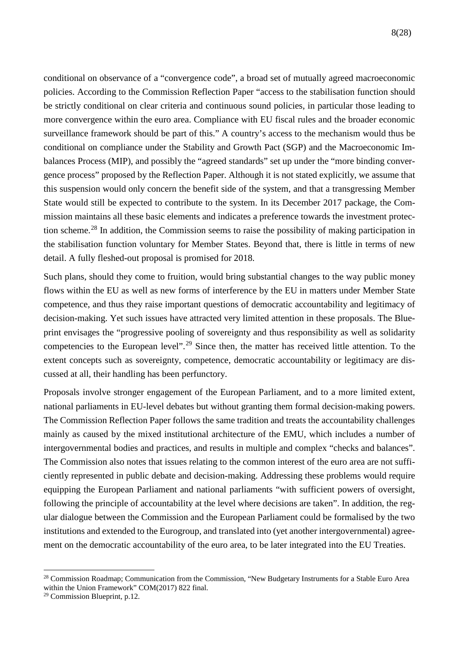conditional on observance of a "convergence code", a broad set of mutually agreed macroeconomic policies. According to the Commission Reflection Paper "access to the stabilisation function should be strictly conditional on clear criteria and continuous sound policies, in particular those leading to more convergence within the euro area. Compliance with EU fiscal rules and the broader economic surveillance framework should be part of this." A country's access to the mechanism would thus be conditional on compliance under the Stability and Growth Pact (SGP) and the Macroeconomic Imbalances Process (MIP), and possibly the "agreed standards" set up under the "more binding convergence process" proposed by the Reflection Paper. Although it is not stated explicitly, we assume that this suspension would only concern the benefit side of the system, and that a transgressing Member State would still be expected to contribute to the system. In its December 2017 package, the Commission maintains all these basic elements and indicates a preference towards the investment protection scheme.[28](#page-9-0) In addition, the Commission seems to raise the possibility of making participation in the stabilisation function voluntary for Member States. Beyond that, there is little in terms of new detail. A fully fleshed-out proposal is promised for 2018.

Such plans, should they come to fruition, would bring substantial changes to the way public money flows within the EU as well as new forms of interference by the EU in matters under Member State competence, and thus they raise important questions of democratic accountability and legitimacy of decision-making. Yet such issues have attracted very limited attention in these proposals. The Blueprint envisages the "progressive pooling of sovereignty and thus responsibility as well as solidarity competencies to the European level".[29](#page-9-1) Since then, the matter has received little attention. To the extent concepts such as sovereignty, competence, democratic accountability or legitimacy are discussed at all, their handling has been perfunctory.

Proposals involve stronger engagement of the European Parliament, and to a more limited extent, national parliaments in EU-level debates but without granting them formal decision-making powers. The Commission Reflection Paper follows the same tradition and treats the accountability challenges mainly as caused by the mixed institutional architecture of the EMU, which includes a number of intergovernmental bodies and practices, and results in multiple and complex "checks and balances". The Commission also notes that issues relating to the common interest of the euro area are not sufficiently represented in public debate and decision-making. Addressing these problems would require equipping the European Parliament and national parliaments "with sufficient powers of oversight, following the principle of accountability at the level where decisions are taken". In addition, the regular dialogue between the Commission and the European Parliament could be formalised by the two institutions and extended to the Eurogroup, and translated into (yet another intergovernmental) agreement on the democratic accountability of the euro area, to be later integrated into the EU Treaties.

<span id="page-9-0"></span><sup>&</sup>lt;sup>28</sup> Commission Roadmap; Communication from the Commission, "New Budgetary Instruments for a Stable Euro Area within the Union Framework" COM(2017) 822 final.

<span id="page-9-1"></span><sup>29</sup> Commission Blueprint, p.12.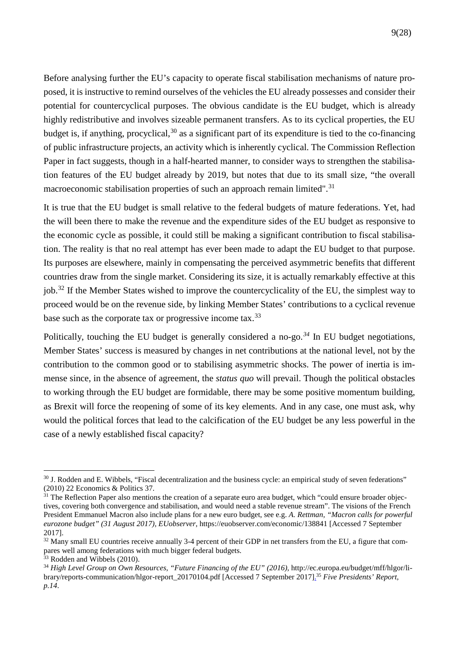Before analysing further the EU's capacity to operate fiscal stabilisation mechanisms of nature proposed, it is instructive to remind ourselves of the vehicles the EU already possesses and consider their potential for countercyclical purposes. The obvious candidate is the EU budget, which is already highly redistributive and involves sizeable permanent transfers. As to its cyclical properties, the EU budget is, if anything, procyclical,  $30$  as a significant part of its expenditure is tied to the co-financing of public infrastructure projects, an activity which is inherently cyclical. The Commission Reflection Paper in fact suggests, though in a half-hearted manner, to consider ways to strengthen the stabilisation features of the EU budget already by 2019, but notes that due to its small size, "the overall macroeconomic stabilisation properties of such an approach remain limited".<sup>[31](#page-10-1)</sup>

It is true that the EU budget is small relative to the federal budgets of mature federations. Yet, had the will been there to make the revenue and the expenditure sides of the EU budget as responsive to the economic cycle as possible, it could still be making a significant contribution to fiscal stabilisation. The reality is that no real attempt has ever been made to adapt the EU budget to that purpose. Its purposes are elsewhere, mainly in compensating the perceived asymmetric benefits that different countries draw from the single market. Considering its size, it is actually remarkably effective at this job.<sup>[32](#page-10-2)</sup> If the Member States wished to improve the countercyclicality of the EU, the simplest way to proceed would be on the revenue side, by linking Member States' contributions to a cyclical revenue base such as the corporate tax or progressive income tax.<sup>[33](#page-10-3)</sup>

Politically, touching the EU budget is generally considered a no-go.*[34](#page-10-4)* In EU budget negotiations, Member States' success is measured by changes in net contributions at the national level, not by the contribution to the common good or to stabilising asymmetric shocks. The power of inertia is immense since, in the absence of agreement, the *status quo* will prevail. Though the political obstacles to working through the EU budget are formidable, there may be some positive momentum building, as Brexit will force the reopening of some of its key elements. And in any case, one must ask, why would the political forces that lead to the calcification of the EU budget be any less powerful in the case of a newly established fiscal capacity?

<sup>&</sup>lt;sup>30</sup> J. Rodden and E. Wibbels, "Fiscal decentralization and the business cycle: an empirical study of seven federations" (2010) 22 Economics & Politics 37.

<span id="page-10-1"></span><span id="page-10-0"></span> $31$  The Reflection Paper also mentions the creation of a separate euro area budget, which "could ensure broader objectives, covering both convergence and stabilisation, and would need a stable revenue stream". The visions of the French President Emmanuel Macron also include plans for a new euro budget, see e.g. *A. Rettman, "Macron calls for powerful eurozone budget" (31 August 2017), EUobserver*, https://euobserver.com/economic/138841 [Accessed 7 September

<sup>2017].&</sup>lt;br><sup>32</sup> Many small EU countries receive annually 3-4 percent of their GDP in net transfers from the EU, a figure that compares well among federations with much bigger federal budgets.<br><sup>33</sup> Rodden and Wibbels (2010).

<span id="page-10-2"></span>

<span id="page-10-4"></span><span id="page-10-3"></span><sup>&</sup>lt;sup>34</sup> High Level Group on Own Resources, "Future Financing of the EU" (2016), http://ec.europa.eu/budget/mff/hlgor/library/reports-communication/hlgor-report\_20170104.pdf [Accessed 7 September 2017]. <sup>35</sup> *Five Presidents' Report, p.14*.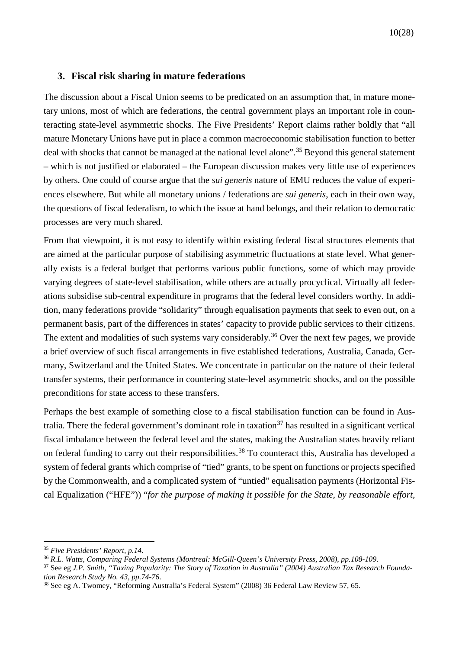### **3. Fiscal risk sharing in mature federations**

The discussion about a Fiscal Union seems to be predicated on an assumption that, in mature monetary unions, most of which are federations, the central government plays an important role in counteracting state-level asymmetric shocks. The Five Presidents' Report claims rather boldly that "all mature Monetary Unions have put in place a common macroeconomic stabilisation function to better deal with shocks that cannot be managed at the national level alone".<sup>[35](#page-11-0)</sup> Beyond this general statement – which is not justified or elaborated – the European discussion makes very little use of experiences by others. One could of course argue that the *sui generis* nature of EMU reduces the value of experiences elsewhere. But while all monetary unions / federations are *sui generis*, each in their own way, the questions of fiscal federalism, to which the issue at hand belongs, and their relation to democratic processes are very much shared.

From that viewpoint, it is not easy to identify within existing federal fiscal structures elements that are aimed at the particular purpose of stabilising asymmetric fluctuations at state level. What generally exists is a federal budget that performs various public functions, some of which may provide varying degrees of state-level stabilisation, while others are actually procyclical. Virtually all federations subsidise sub-central expenditure in programs that the federal level considers worthy. In addition, many federations provide "solidarity" through equalisation payments that seek to even out, on a permanent basis, part of the differences in states' capacity to provide public services to their citizens. The extent and modalities of such systems vary considerably.<sup>[36](#page-11-1)</sup> Over the next few pages, we provide a brief overview of such fiscal arrangements in five established federations, Australia, Canada, Germany, Switzerland and the United States. We concentrate in particular on the nature of their federal transfer systems, their performance in countering state-level asymmetric shocks, and on the possible preconditions for state access to these transfers.

Perhaps the best example of something close to a fiscal stabilisation function can be found in Aus-tralia. There the federal government's dominant role in taxation<sup>[37](#page-11-2)</sup> has resulted in a significant vertical fiscal imbalance between the federal level and the states, making the Australian states heavily reliant on federal funding to carry out their responsibilities.<sup>[38](#page-11-3)</sup> To counteract this, Australia has developed a system of federal grants which comprise of "tied" grants, to be spent on functions or projects specified by the Commonwealth, and a complicated system of "untied" equalisation payments (Horizontal Fiscal Equalization ("HFE")) "*for the purpose of making it possible for the State, by reasonable effort,* 

<span id="page-11-0"></span> <sup>35</sup> *Five Presidents' Report, p.14*.

<span id="page-11-1"></span><sup>36</sup> *R.L. Watts, Comparing Federal Systems (Montreal: McGill-Queen's University Press, 2008)*, *pp.108-109*.

<span id="page-11-2"></span><sup>37</sup> See eg *J.P. Smith, "Taxing Popularity: The Story of Taxation in Australia" (2004) Australian Tax Research Foundation Research Study No. 43, pp.74-76.*<br><sup>38</sup> See eg A. Twomey, "Reforming Australia's Federal System" (2008) 36 Federal Law Review 57, 65.

<span id="page-11-3"></span>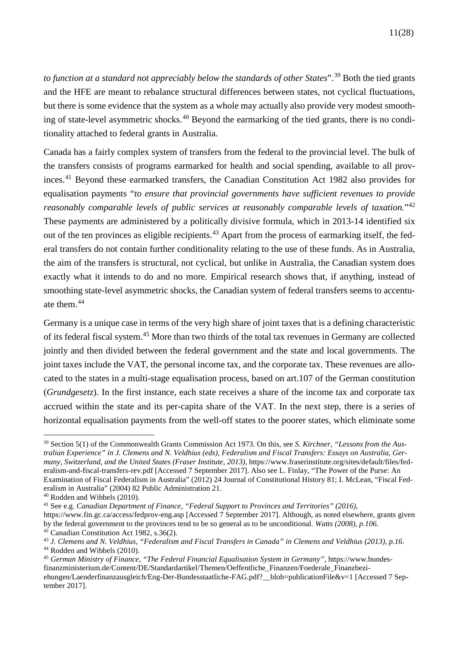*to function at a standard not appreciably below the standards of other States*".[39](#page-12-0) Both the tied grants and the HFE are meant to rebalance structural differences between states, not cyclical fluctuations, but there is some evidence that the system as a whole may actually also provide very modest smooth-ing of state-level asymmetric shocks.<sup>[40](#page-12-1)</sup> Beyond the earmarking of the tied grants, there is no conditionality attached to federal grants in Australia.

Canada has a fairly complex system of transfers from the federal to the provincial level. The bulk of the transfers consists of programs earmarked for health and social spending, available to all provinces.[41](#page-12-2) Beyond these earmarked transfers, the Canadian Constitution Act 1982 also provides for equalisation payments "*to ensure that provincial governments have sufficient revenues to provide reasonably comparable levels of public services at reasonably comparable levels of taxation.*"[42](#page-12-3) These payments are administered by a politically divisive formula, which in 2013-14 identified six out of the ten provinces as eligible recipients.<sup>[43](#page-12-4)</sup> Apart from the process of earmarking itself, the federal transfers do not contain further conditionality relating to the use of these funds. As in Australia, the aim of the transfers is structural, not cyclical, but unlike in Australia, the Canadian system does exactly what it intends to do and no more. Empirical research shows that, if anything, instead of smoothing state-level asymmetric shocks, the Canadian system of federal transfers seems to accentuate them.[44](#page-12-5)

Germany is a unique case in terms of the very high share of joint taxes that is a defining characteristic of its federal fiscal system.[45](#page-12-6) More than two thirds of the total tax revenues in Germany are collected jointly and then divided between the federal government and the state and local governments. The joint taxes include the VAT, the personal income tax, and the corporate tax. These revenues are allocated to the states in a multi-stage equalisation process, based on art.107 of the German constitution (*Grundgesetz*). In the first instance, each state receives a share of the income tax and corporate tax accrued within the state and its per-capita share of the VAT. In the next step, there is a series of horizontal equalisation payments from the well-off states to the poorer states, which eliminate some

<span id="page-12-0"></span> <sup>39</sup> Section 5(1) of the Commonwealth Grants Commission Act 1973. On this, see *S. Kirchner, "Lessons from the Australian Experience" in J. Clemens and N. Veldhius (eds), Federalism and Fiscal Transfers: Essays on Australia, Germany, Switzerland, and the United States (Fraser Institute, 2013)*, https://www.fraserinstitute.org/sites/default/files/federalism-and-fiscal-transfers-rev.pdf [Accessed 7 September 2017]. Also see L. Finlay, "The Power of the Purse: An Examination of Fiscal Federalism in Australia" (2012) 24 Journal of Constitutional History 81; I. McLean, "Fiscal Fed-

<span id="page-12-2"></span><span id="page-12-1"></span><sup>&</sup>lt;sup>40</sup> Rodden and Wibbels (2010).<br><sup>41</sup> See e.g. *Canadian Department of Finance, "Federal Support to Provinces and Territories" (2016),* https://www.fin.gc.ca/access/fedprov-eng.asp [Accessed 7 September 2017]. Although, as noted elsewhere, grants given by the federal government to the provinces tend to be so general as to be unconditional. *Watts (2008)*, *p.106*. 42 Canadian Constitution Act 1982, s.36(2).

<span id="page-12-4"></span><span id="page-12-3"></span><sup>43</sup> *J. Clemens and N. Veldhius, "Federalism and Fiscal Transfers in Canada" in Clemens and Veldhius (2013), p.16*.

<span id="page-12-6"></span><span id="page-12-5"></span><sup>&</sup>lt;sup>44</sup> Rodden and Wibbels (2010).<br><sup>45</sup> *German Ministry of Finance, "The Federal Financial Equalisation System in Germany"*, https://www.bundesfinanzministerium.de/Content/DE/Standardartikel/Themen/Oeffentliche\_Finanzen/Foederale\_Finanzbeziehungen/Laenderfinanzausgleich/Eng-Der-Bundesstaatliche-FAG.pdf?\_\_blob=publicationFile&v=1 [Accessed 7 September 2017].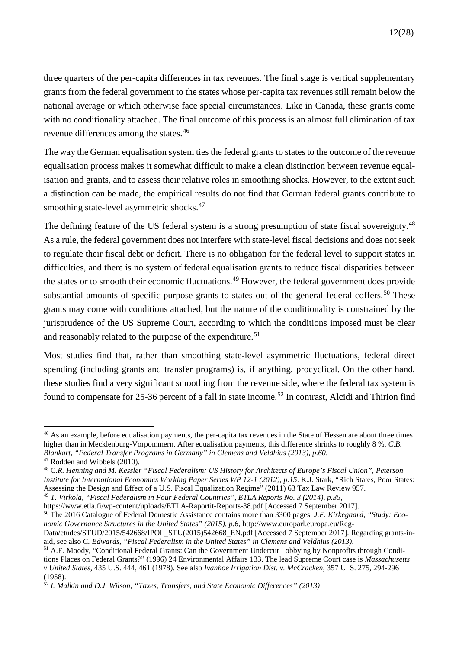three quarters of the per-capita differences in tax revenues. The final stage is vertical supplementary grants from the federal government to the states whose per-capita tax revenues still remain below the national average or which otherwise face special circumstances. Like in Canada, these grants come with no conditionality attached. The final outcome of this process is an almost full elimination of tax revenue differences among the states.[46](#page-13-0)

The way the German equalisation system ties the federal grants to states to the outcome of the revenue equalisation process makes it somewhat difficult to make a clean distinction between revenue equalisation and grants, and to assess their relative roles in smoothing shocks. However, to the extent such a distinction can be made, the empirical results do not find that German federal grants contribute to smoothing state-level asymmetric shocks.<sup>[47](#page-13-1)</sup>

The defining feature of the US federal system is a strong presumption of state fiscal sovereignty.<sup>[48](#page-13-2)</sup> As a rule, the federal government does not interfere with state-level fiscal decisions and does not seek to regulate their fiscal debt or deficit. There is no obligation for the federal level to support states in difficulties, and there is no system of federal equalisation grants to reduce fiscal disparities between the states or to smooth their economic fluctuations.<sup>[49](#page-13-3)</sup> However, the federal government does provide substantial amounts of specific-purpose grants to states out of the general federal coffers.<sup>[50](#page-13-4)</sup> These grants may come with conditions attached, but the nature of the conditionality is constrained by the jurisprudence of the US Supreme Court, according to which the conditions imposed must be clear and reasonably related to the purpose of the expenditure.<sup>[51](#page-13-5)</sup>

Most studies find that, rather than smoothing state-level asymmetric fluctuations, federal direct spending (including grants and transfer programs) is, if anything, procyclical. On the other hand, these studies find a very significant smoothing from the revenue side, where the federal tax system is found to compensate for 25-36 percent of a fall in state income.<sup>[52](#page-13-6)</sup> In contrast, Alcidi and Thirion find

<span id="page-13-3"></span><sup>49</sup> *T. Virkola, "Fiscal Federalism in Four Federal Countries", ETLA Reports No. 3 (2014), p.35*,

<span id="page-13-0"></span><sup>&</sup>lt;sup>46</sup> As an example, before equalisation payments, the per-capita tax revenues in the State of Hessen are about three times higher than in Mecklenburg-Vorpommern. After equalisation payments, this difference shrinks to roughly 8 %. *C.B. Blankart, "Federal Transfer Programs in Germany" in Clemens and Veldhius (2013), p.60*. <sup>47</sup> Rodden and Wibbels (2010).

<span id="page-13-1"></span>

<span id="page-13-2"></span><sup>48</sup> C*.R. Henning and M. Kessler "Fiscal Federalism: US History for Architects of Europe's Fiscal Union", Peterson Institute for International Economics Working Paper Series WP 12-1 (2012), p.15*. K.J. Stark, "Rich States, Poor States: Assessing the Design and Effect of a U.S. Fiscal Equalization Regime" (2011) 63 Tax Law Review 957.

https://www.etla.fi/wp-content/uploads/ETLA-Raportit-Reports-38.pdf [Accessed 7 September 2017]. 50 The 2016 Catalogue of Federal Domestic Assistance contains more than 3300 pages. *J.F. Kirkegaard, "Study: Eco-*

<span id="page-13-4"></span>*nomic Governance Structures in the United States" (2015), p.6, http://www.europarl.europa.eu/Reg-*

Data/etudes/STUD/2015/542668/IPOL\_STU(2015)542668\_EN.pdf [Accessed 7 September 2017]. Regarding grants-inaid, see also C*. Edwards, "Fiscal Federalism in the United States" in Clemens and Veldhius (2013)*.

<span id="page-13-5"></span><sup>&</sup>lt;sup>51</sup> A.E. Moody, "Conditional Federal Grants: Can the Government Undercut Lobbying by Nonprofits through Conditions Places on Federal Grants?" (1996) 24 Environmental Affairs 133. The lead Supreme Court case is *Massachusetts v United States*, 435 U.S. 444, 461 (1978). See also *Ivanhoe Irrigation Dist. v. McCracken*, 357 U. S. 275, 294-296 (1958).

<span id="page-13-6"></span><sup>52</sup> *I. Malkin and D.J. Wilson, "Taxes, Transfers, and State Economic Differences" (2013)*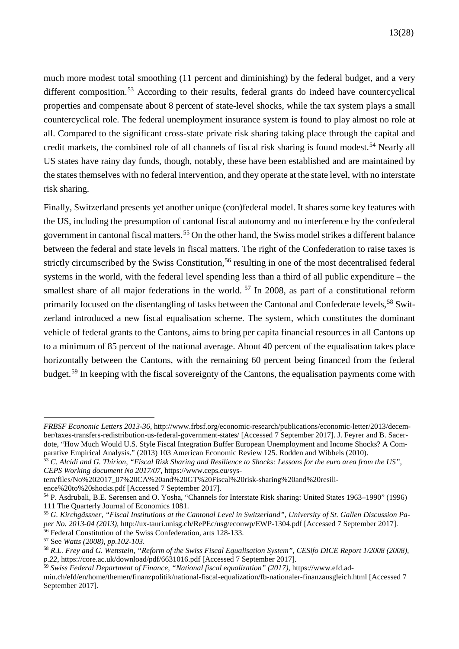much more modest total smoothing (11 percent and diminishing) by the federal budget, and a very different composition.<sup>[53](#page-14-0)</sup> According to their results, federal grants do indeed have countercyclical properties and compensate about 8 percent of state-level shocks, while the tax system plays a small countercyclical role. The federal unemployment insurance system is found to play almost no role at all. Compared to the significant cross-state private risk sharing taking place through the capital and credit markets, the combined role of all channels of fiscal risk sharing is found modest.<sup>[54](#page-14-1)</sup> Nearly all US states have rainy day funds, though, notably, these have been established and are maintained by the states themselves with no federal intervention, and they operate at the state level, with no interstate risk sharing.

Finally, Switzerland presents yet another unique (con)federal model. It shares some key features with the US, including the presumption of cantonal fiscal autonomy and no interference by the confederal government in cantonal fiscal matters.<sup>[55](#page-14-2)</sup> On the other hand, the Swiss model strikes a different balance between the federal and state levels in fiscal matters. The right of the Confederation to raise taxes is strictly circumscribed by the Swiss Constitution,<sup>[56](#page-14-3)</sup> resulting in one of the most decentralised federal systems in the world, with the federal level spending less than a third of all public expenditure – the smallest share of all major federations in the world.  $57$  In 2008, as part of a constitutional reform primarily focused on the disentangling of tasks between the Cantonal and Confederate levels,<sup>[58](#page-14-5)</sup> Switzerland introduced a new fiscal equalisation scheme. The system, which constitutes the dominant vehicle of federal grants to the Cantons, aims to bring per capita financial resources in all Cantons up to a minimum of 85 percent of the national average. About 40 percent of the equalisation takes place horizontally between the Cantons, with the remaining 60 percent being financed from the federal budget.[59](#page-14-6) In keeping with the fiscal sovereignty of the Cantons, the equalisation payments come with

<u>.</u>

*FRBSF Economic Letters 2013-36*, http://www.frbsf.org/economic-research/publications/economic-letter/2013/december/taxes-transfers-redistribution-us-federal-government-states/ [Accessed 7 September 2017]. J. Feyrer and B. Sacerdote, "How Much Would U.S. Style Fiscal Integration Buffer European Unemployment and Income Shocks? A Comparative Empirical Analysis." (2013) 103 American Economic Review 125. Rodden and Wibbels (2010).

<span id="page-14-0"></span><sup>53</sup> *C. Alcidi and G. Thirion, "Fiscal Risk Sharing and Resilience to Shocks: Lessons for the euro area from the US", CEPS Working document No 2017/07*, https://www.ceps.eu/sys-

tem/files/No%202017\_07%20CA%20and%20GT%20Fiscal%20risk-sharing%20and%20resili-

ence%20to%20shocks.pdf [Accessed 7 September 2017].

<span id="page-14-1"></span><sup>54</sup> P. Asdrubali, B.E. Sørensen and O. Yosha, "Channels for Interstate Risk sharing: United States 1963–1990" (1996) 111 The Quarterly Journal of Economics 1081.

<span id="page-14-2"></span><sup>55</sup> *G. Kirchgässner, "Fiscal Institutions at the Cantonal Level in Switzerland", University of St. Gallen Discussion Paper No. 2013-04 (2013)*, http://ux-tauri.unisg.ch/RePEc/usg/econwp/EWP-1304.pdf [Accessed 7 September 2017]. <sup>56</sup> Federal Constitution of the Swiss Confederation, arts 128-133.

<span id="page-14-5"></span><span id="page-14-4"></span><span id="page-14-3"></span><sup>57</sup> See *Watts (2008)*, *pp.102-103*. 58 *R.L. Frey and G. Wettstein, "Reform of the Swiss Fiscal Equalisation System", CESifo DICE Report 1/2008 (2008), p.22*, https://core.ac.uk/download/pdf/6631016.pdf [Accessed 7 September 2017]. 59 *Swiss Federal Department of Finance, "National fiscal equalization" (2017)*, https://www.efd.ad-

<span id="page-14-6"></span>min.ch/efd/en/home/themen/finanzpolitik/national-fiscal-equalization/fb-nationaler-finanzausgleich.html [Accessed 7 September 2017].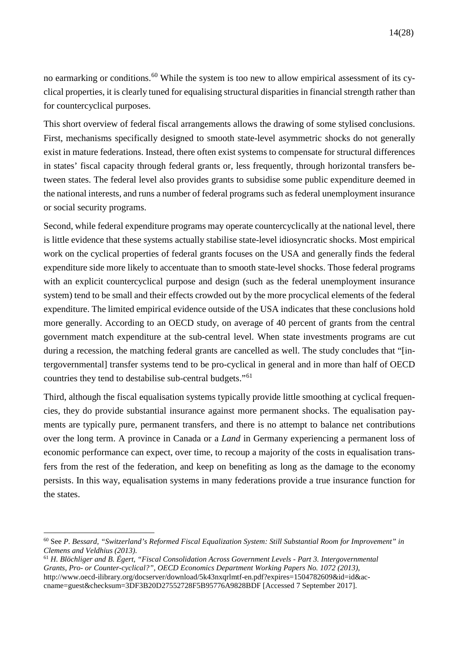no earmarking or conditions.[60](#page-15-0) While the system is too new to allow empirical assessment of its cyclical properties, it is clearly tuned for equalising structural disparities in financial strength rather than for countercyclical purposes.

This short overview of federal fiscal arrangements allows the drawing of some stylised conclusions. First, mechanisms specifically designed to smooth state-level asymmetric shocks do not generally exist in mature federations. Instead, there often exist systems to compensate for structural differences in states' fiscal capacity through federal grants or, less frequently, through horizontal transfers between states. The federal level also provides grants to subsidise some public expenditure deemed in the national interests, and runs a number of federal programs such as federal unemployment insurance or social security programs.

Second, while federal expenditure programs may operate countercyclically at the national level, there is little evidence that these systems actually stabilise state-level idiosyncratic shocks. Most empirical work on the cyclical properties of federal grants focuses on the USA and generally finds the federal expenditure side more likely to accentuate than to smooth state-level shocks. Those federal programs with an explicit countercyclical purpose and design (such as the federal unemployment insurance system) tend to be small and their effects crowded out by the more procyclical elements of the federal expenditure. The limited empirical evidence outside of the USA indicates that these conclusions hold more generally. According to an OECD study, on average of 40 percent of grants from the central government match expenditure at the sub-central level. When state investments programs are cut during a recession, the matching federal grants are cancelled as well. The study concludes that "[intergovernmental] transfer systems tend to be pro-cyclical in general and in more than half of OECD countries they tend to destabilise sub-central budgets."[61](#page-15-1)

Third, although the fiscal equalisation systems typically provide little smoothing at cyclical frequencies, they do provide substantial insurance against more permanent shocks. The equalisation payments are typically pure, permanent transfers, and there is no attempt to balance net contributions over the long term. A province in Canada or a *Land* in Germany experiencing a permanent loss of economic performance can expect, over time, to recoup a majority of the costs in equalisation transfers from the rest of the federation, and keep on benefiting as long as the damage to the economy persists. In this way, equalisation systems in many federations provide a true insurance function for the states.

<span id="page-15-0"></span> <sup>60</sup> See *P. Bessard, "Switzerland's Reformed Fiscal Equalization System: Still Substantial Room for Improvement" in Clemens and Veldhius (2013)*.

<span id="page-15-1"></span><sup>61</sup> *H. Blöchliger and B. Égert, "Fiscal Consolidation Across Government Levels - Part 3. Intergovernmental Grants, Pro- or Counter-cyclical?", OECD Economics Department Working Papers No. 1072 (2013)*, http://www.oecd-ilibrary.org/docserver/download/5k43nxqrlmtf-en.pdf?expires=1504782609&id=id&accname=guest&checksum=3DF3B20D27552728F5B95776A9828BDF [Accessed 7 September 2017].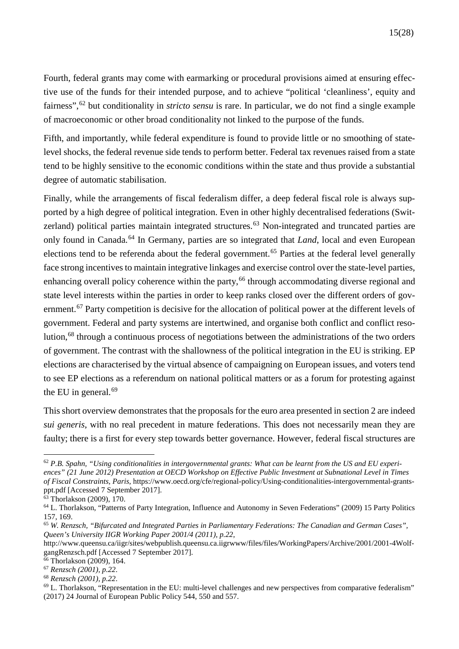Fourth, federal grants may come with earmarking or procedural provisions aimed at ensuring effective use of the funds for their intended purpose, and to achieve "political 'cleanliness', equity and fairness",[62](#page-16-0) but conditionality in *stricto sensu* is rare. In particular, we do not find a single example of macroeconomic or other broad conditionality not linked to the purpose of the funds.

Fifth, and importantly, while federal expenditure is found to provide little or no smoothing of statelevel shocks, the federal revenue side tends to perform better. Federal tax revenues raised from a state tend to be highly sensitive to the economic conditions within the state and thus provide a substantial degree of automatic stabilisation.

Finally, while the arrangements of fiscal federalism differ, a deep federal fiscal role is always supported by a high degree of political integration. Even in other highly decentralised federations (Swit-zerland) political parties maintain integrated structures.<sup>[63](#page-16-1)</sup> Non-integrated and truncated parties are only found in Canada.<sup>[64](#page-16-2)</sup> In Germany, parties are so integrated that *Land*, local and even European elections tend to be referenda about the federal government.<sup>[65](#page-16-3)</sup> Parties at the federal level generally face strong incentives to maintain integrative linkages and exercise control over the state-level parties, enhancing overall policy coherence within the party,<sup>[66](#page-16-4)</sup> through accommodating diverse regional and state level interests within the parties in order to keep ranks closed over the different orders of gov-ernment.<sup>[67](#page-16-5)</sup> Party competition is decisive for the allocation of political power at the different levels of government. Federal and party systems are intertwined, and organise both conflict and conflict resolution,[68](#page-16-6) through a continuous process of negotiations between the administrations of the two orders of government. The contrast with the shallowness of the political integration in the EU is striking. EP elections are characterised by the virtual absence of campaigning on European issues, and voters tend to see EP elections as a referendum on national political matters or as a forum for protesting against the EU in general. [69](#page-16-7)

This short overview demonstrates that the proposals for the euro area presented in section 2 are indeed *sui generis*, with no real precedent in mature federations. This does not necessarily mean they are faulty; there is a first for every step towards better governance. However, federal fiscal structures are

<span id="page-16-5"></span><sup>67</sup> *Renzsch (2001), p.22*.

<span id="page-16-0"></span> <sup>62</sup> *P.B. Spahn, "Using conditionalities in intergovernmental grants: What can be learnt from the US and EU experiences" (21 June 2012) Presentation at OECD Workshop on Effective Public Investment at Subnational Level in Times of Fiscal Constraints, Paris*, https://www.oecd.org/cfe/regional-policy/Using-conditionalities-intergovernmental-grantsppt.pdf [Accessed 7 September 2017].

<span id="page-16-1"></span><sup>63</sup> Thorlakson (2009), 170.

<span id="page-16-2"></span><sup>64</sup> L. Thorlakson, "Patterns of Party Integration, Influence and Autonomy in Seven Federations" (2009) 15 Party Politics 157, 169.

<span id="page-16-3"></span><sup>65</sup> *W. Renzsch, "Bifurcated and Integrated Parties in Parliamentary Federations: The Canadian and German Cases", Queen's University IIGR Working Paper 2001/4 (2011), p.22*,

http://www.queensu.ca/iigr/sites/webpublish.queensu.ca.iigrwww/files/files/WorkingPapers/Archive/2001/2001-4WolfgangRenzsch.pdf [Accessed 7 September 2017].

<span id="page-16-4"></span><sup>66</sup> Thorlakson (2009), 164.

<span id="page-16-6"></span><sup>68</sup> *Renzsch (2001), p.22*.

<span id="page-16-7"></span> $69$  L. Thorlakson, "Representation in the EU: multi-level challenges and new perspectives from comparative federalism" (2017) 24 Journal of European Public Policy 544, 550 and 557.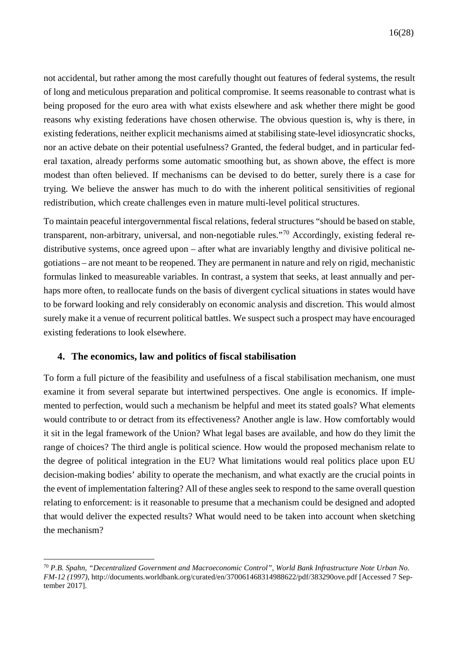not accidental, but rather among the most carefully thought out features of federal systems, the result of long and meticulous preparation and political compromise. It seems reasonable to contrast what is being proposed for the euro area with what exists elsewhere and ask whether there might be good reasons why existing federations have chosen otherwise. The obvious question is, why is there, in existing federations, neither explicit mechanisms aimed at stabilising state-level idiosyncratic shocks, nor an active debate on their potential usefulness? Granted, the federal budget, and in particular federal taxation, already performs some automatic smoothing but, as shown above, the effect is more modest than often believed. If mechanisms can be devised to do better, surely there is a case for trying. We believe the answer has much to do with the inherent political sensitivities of regional redistribution, which create challenges even in mature multi-level political structures.

To maintain peaceful intergovernmental fiscal relations, federal structures "should be based on stable, transparent, non-arbitrary, universal, and non-negotiable rules."[70](#page-17-0) Accordingly, existing federal redistributive systems, once agreed upon – after what are invariably lengthy and divisive political negotiations – are not meant to be reopened. They are permanent in nature and rely on rigid, mechanistic formulas linked to measureable variables. In contrast, a system that seeks, at least annually and perhaps more often, to reallocate funds on the basis of divergent cyclical situations in states would have to be forward looking and rely considerably on economic analysis and discretion. This would almost surely make it a venue of recurrent political battles. We suspect such a prospect may have encouraged existing federations to look elsewhere.

#### **4. The economics, law and politics of fiscal stabilisation**

To form a full picture of the feasibility and usefulness of a fiscal stabilisation mechanism, one must examine it from several separate but intertwined perspectives. One angle is economics. If implemented to perfection, would such a mechanism be helpful and meet its stated goals? What elements would contribute to or detract from its effectiveness? Another angle is law. How comfortably would it sit in the legal framework of the Union? What legal bases are available, and how do they limit the range of choices? The third angle is political science. How would the proposed mechanism relate to the degree of political integration in the EU? What limitations would real politics place upon EU decision-making bodies' ability to operate the mechanism, and what exactly are the crucial points in the event of implementation faltering? All of these angles seek to respond to the same overall question relating to enforcement: is it reasonable to presume that a mechanism could be designed and adopted that would deliver the expected results? What would need to be taken into account when sketching the mechanism?

<span id="page-17-0"></span> <sup>70</sup> *P.B. Spahn, "Decentralized Government and Macroeconomic Control", World Bank Infrastructure Note Urban No. FM-12 (1997)*, http://documents.worldbank.org/curated/en/370061468314988622/pdf/383290ove.pdf [Accessed 7 September 2017].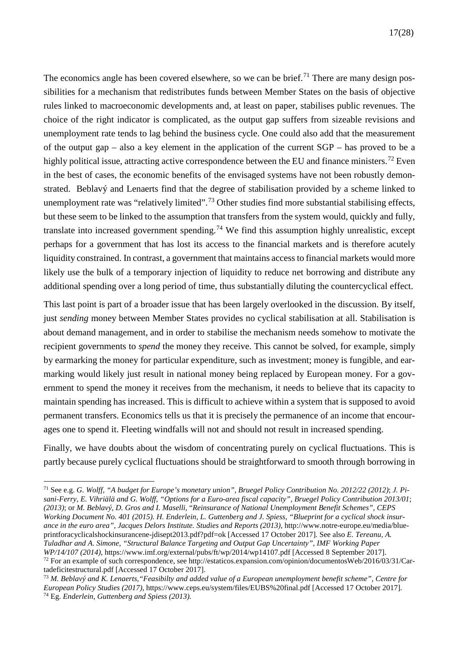The economics angle has been covered elsewhere, so we can be brief.<sup>[71](#page-18-0)</sup> There are many design possibilities for a mechanism that redistributes funds between Member States on the basis of objective rules linked to macroeconomic developments and, at least on paper, stabilises public revenues. The choice of the right indicator is complicated, as the output gap suffers from sizeable revisions and unemployment rate tends to lag behind the business cycle. One could also add that the measurement of the output gap – also a key element in the application of the current SGP – has proved to be a highly political issue, attracting active correspondence between the EU and finance ministers.<sup>[72](#page-18-1)</sup> Even in the best of cases, the economic benefits of the envisaged systems have not been robustly demonstrated. Beblavý and Lenaerts find that the degree of stabilisation provided by a scheme linked to unemployment rate was "relatively limited".<sup>[73](#page-18-2)</sup> Other studies find more substantial stabilising effects, but these seem to be linked to the assumption that transfers from the system would, quickly and fully, translate into increased government spending.<sup>[74](#page-18-3)</sup> We find this assumption highly unrealistic, except perhaps for a government that has lost its access to the financial markets and is therefore acutely liquidity constrained. In contrast, a government that maintains access to financial markets would more likely use the bulk of a temporary injection of liquidity to reduce net borrowing and distribute any additional spending over a long period of time, thus substantially diluting the countercyclical effect.

This last point is part of a broader issue that has been largely overlooked in the discussion. By itself, just *sending* money between Member States provides no cyclical stabilisation at all. Stabilisation is about demand management, and in order to stabilise the mechanism needs somehow to motivate the recipient governments to *spend* the money they receive. This cannot be solved, for example, simply by earmarking the money for particular expenditure, such as investment; money is fungible, and earmarking would likely just result in national money being replaced by European money. For a government to spend the money it receives from the mechanism, it needs to believe that its capacity to maintain spending has increased. This is difficult to achieve within a system that is supposed to avoid permanent transfers. Economics tells us that it is precisely the permanence of an income that encourages one to spend it. Fleeting windfalls will not and should not result in increased spending.

Finally, we have doubts about the wisdom of concentrating purely on cyclical fluctuations. This is partly because purely cyclical fluctuations should be straightforward to smooth through borrowing in

<span id="page-18-0"></span> <sup>71</sup> See e.g. *G. Wolff, "A budget for Europe's monetary union", Bruegel Policy Contribution No. 2012/22 (2012)*; *J. Pisani-Ferry, E. Vihriälä and G. Wolff, "Options for a Euro-area fiscal capacity", Bruegel Policy Contribution 2013/01*; *(2013)*; or *M. Beblavý, D. Gros and I. Maselli,* "*Reinsurance of National Unemployment Benefit Schemes", CEPS Working Document No. 401 (2015). H. Enderlein, L. Guttenberg and J. Spiess, "Blueprint for a cyclical shock insurance in the euro area", Jacques Delors Institute. Studies and Reports (2013),* http://www.notre-europe.eu/media/blueprintforacyclicalshockinsurancene-jdisept2013.pdf?pdf=ok [Accessed 17 October 2017]*.* See also *E. Tereanu, A. Tuladhar and A. Simone, "Structural Balance Targeting and Output Gap Uncertainty", IMF Working Paper*  <sup>72</sup> For an example of such correspondence, see [http://estaticos.expansion.com/opinion/documentosWeb/2016/03/31/Car-](http://estaticos.expansion.com/opinion/documentosWeb/2016/03/31/Cartadeficitestructural.pdf)

<span id="page-18-1"></span>[tadeficitestructural.pdf](http://estaticos.expansion.com/opinion/documentosWeb/2016/03/31/Cartadeficitestructural.pdf) [Accessed 17 October 2017].

<span id="page-18-3"></span><span id="page-18-2"></span><sup>73</sup> *M. Beblavý and K. Lenaerts,"Feasibilty and added value of a European unemployment benefit scheme", Centre for European Policy Studies (2017)*, https://www.ceps.eu/system/files/EUBS%20final.pdf [Accessed 17 October 2017]*.* <sup>74</sup> Eg. *Enderlein, Guttenberg and Spiess (2013).*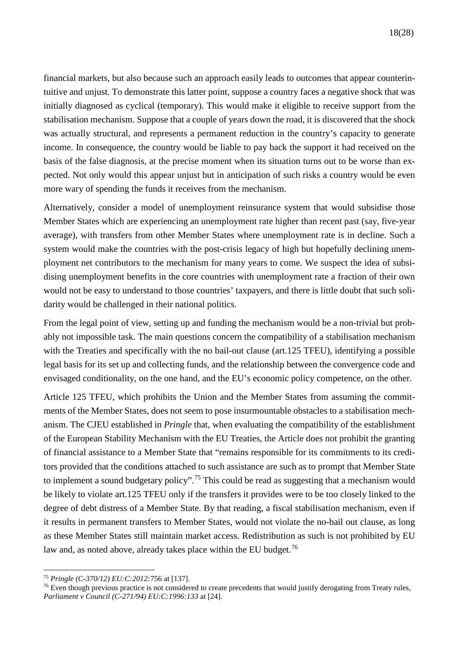financial markets, but also because such an approach easily leads to outcomes that appear counterintuitive and unjust. To demonstrate this latter point, suppose a country faces a negative shock that was initially diagnosed as cyclical (temporary). This would make it eligible to receive support from the stabilisation mechanism. Suppose that a couple of years down the road, it is discovered that the shock was actually structural, and represents a permanent reduction in the country's capacity to generate income. In consequence, the country would be liable to pay back the support it had received on the basis of the false diagnosis, at the precise moment when its situation turns out to be worse than expected. Not only would this appear unjust but in anticipation of such risks a country would be even more wary of spending the funds it receives from the mechanism.

Alternatively, consider a model of unemployment reinsurance system that would subsidise those Member States which are experiencing an unemployment rate higher than recent past (say, five-year average), with transfers from other Member States where unemployment rate is in decline. Such a system would make the countries with the post-crisis legacy of high but hopefully declining unemployment net contributors to the mechanism for many years to come. We suspect the idea of subsidising unemployment benefits in the core countries with unemployment rate a fraction of their own would not be easy to understand to those countries' taxpayers, and there is little doubt that such solidarity would be challenged in their national politics.

From the legal point of view, setting up and funding the mechanism would be a non-trivial but probably not impossible task. The main questions concern the compatibility of a stabilisation mechanism with the Treaties and specifically with the no bail-out clause (art.125 TFEU), identifying a possible legal basis for its set up and collecting funds, and the relationship between the convergence code and envisaged conditionality, on the one hand, and the EU's economic policy competence, on the other.

Article 125 TFEU, which prohibits the Union and the Member States from assuming the commitments of the Member States, does not seem to pose insurmountable obstacles to a stabilisation mechanism. The CJEU established in *Pringle* that, when evaluating the compatibility of the establishment of the European Stability Mechanism with the EU Treaties, the Article does not prohibit the granting of financial assistance to a Member State that "remains responsible for its commitments to its creditors provided that the conditions attached to such assistance are such as to prompt that Member State to implement a sound budgetary policy".<sup>[75](#page-19-0)</sup> This could be read as suggesting that a mechanism would be likely to violate art.125 TFEU only if the transfers it provides were to be too closely linked to the degree of debt distress of a Member State. By that reading, a fiscal stabilisation mechanism, even if it results in permanent transfers to Member States, would not violate the no-bail out clause, as long as these Member States still maintain market access. Redistribution as such is not prohibited by EU law and, as noted above, already takes place within the EU budget.<sup>[76](#page-19-1)</sup>

<span id="page-19-0"></span> <sup>75</sup> *Pringle (C-370/12) EU:C:2012:*<sup>756</sup> at [137].

<span id="page-19-1"></span><sup>&</sup>lt;sup>76</sup> Even though previous practice is not considered to create precedents that would justify derogating from Treaty rules, *Parliament v Council (C-271/94) EU:C:1996:133* at [24].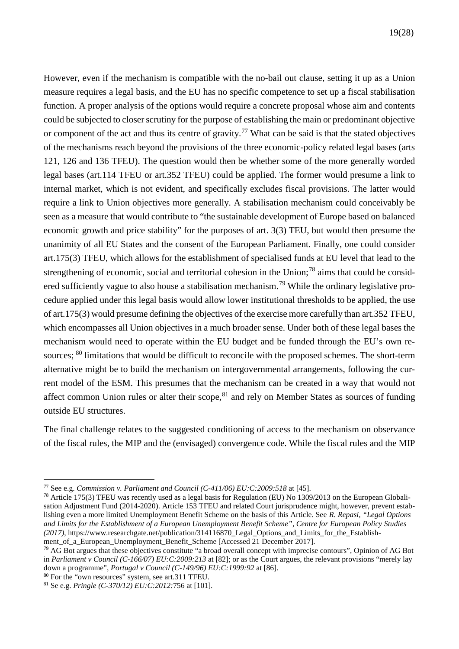However, even if the mechanism is compatible with the no-bail out clause, setting it up as a Union measure requires a legal basis, and the EU has no specific competence to set up a fiscal stabilisation function. A proper analysis of the options would require a concrete proposal whose aim and contents could be subjected to closer scrutiny for the purpose of establishing the main or predominant objective or component of the act and thus its centre of gravity.<sup>[77](#page-20-0)</sup> What can be said is that the stated objectives of the mechanisms reach beyond the provisions of the three economic-policy related legal bases (arts 121, 126 and 136 TFEU). The question would then be whether some of the more generally worded legal bases (art.114 TFEU or art.352 TFEU) could be applied. The former would presume a link to internal market, which is not evident, and specifically excludes fiscal provisions. The latter would require a link to Union objectives more generally. A stabilisation mechanism could conceivably be seen as a measure that would contribute to "the sustainable development of Europe based on balanced economic growth and price stability" for the purposes of art. 3(3) TEU, but would then presume the unanimity of all EU States and the consent of the European Parliament. Finally, one could consider art.175(3) TFEU, which allows for the establishment of specialised funds at EU level that lead to the strengthening of economic, social and territorial cohesion in the Union;<sup>[78](#page-20-1)</sup> aims that could be consid-ered sufficiently vague to also house a stabilisation mechanism.<sup>[79](#page-20-2)</sup> While the ordinary legislative procedure applied under this legal basis would allow lower institutional thresholds to be applied, the use of art.175(3) would presume defining the objectives of the exercise more carefully than art.352 TFEU, which encompasses all Union objectives in a much broader sense. Under both of these legal bases the mechanism would need to operate within the EU budget and be funded through the EU's own resources;  $80$  limitations that would be difficult to reconcile with the proposed schemes. The short-term alternative might be to build the mechanism on intergovernmental arrangements, following the current model of the ESM. This presumes that the mechanism can be created in a way that would not affect common Union rules or alter their scope.<sup>[81](#page-20-4)</sup> and rely on Member States as sources of funding outside EU structures.

The final challenge relates to the suggested conditioning of access to the mechanism on observance of the fiscal rules, the MIP and the (envisaged) convergence code. While the fiscal rules and the MIP

<span id="page-20-0"></span> <sup>77</sup> See e.g. *Commission v. Parliament and Council (C-411/06) EU:C:2009:518* at [45].

<span id="page-20-1"></span><sup>&</sup>lt;sup>78</sup> Article 175(3) TFEU was recently used as a legal basis for Regulation (EU) No 1309/2013 on the European Globalisation Adjustment Fund (2014-2020). Article 153 TFEU and related Court jurisprudence might, however, prevent establishing even a more limited Unemployment Benefit Scheme on the basis of this Article. See *R. Repasi, "Legal Options and Limits for the Establishment of a European Unemployment Benefit Scheme", Centre for European Policy Studies (2017)*, https://www.researchgate.net/publication/314116870\_Legal\_Options\_and\_Limits\_for\_the\_Establish-

<span id="page-20-2"></span>ment\_of\_a\_European\_Unemployment\_Benefit\_Scheme [Accessed 21 December 2017].<br><sup>79</sup> AG Bot argues that these objectives constitute "a broad overall concept with imprecise contours", Opinion of AG Bot in *Parliament v Council (C-166/07) EU:C:2009:213* at [82]; or as the Court argues, the relevant provisions "merely lay down a programme", *Portugal v Council (C-149/96) EU:C:1999:92* at [86].

<span id="page-20-3"></span><sup>80</sup> For the "own resources" system, see art.311 TFEU.

<span id="page-20-4"></span><sup>81</sup> Se e.g. *Pringle (C-370/12) EU:C:2012:*756 at [101].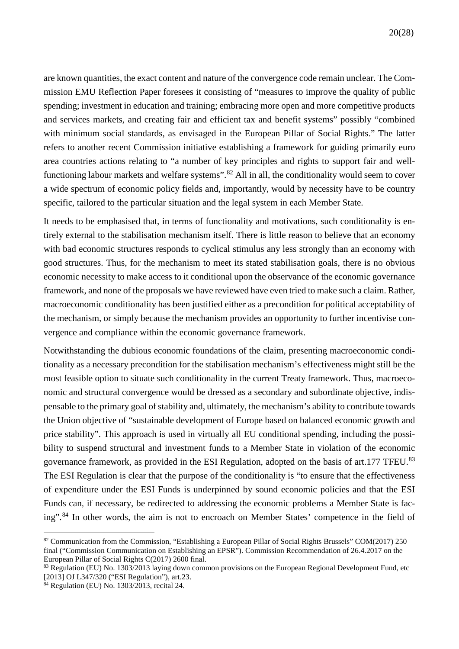are known quantities, the exact content and nature of the convergence code remain unclear. The Commission EMU Reflection Paper foresees it consisting of "measures to improve the quality of public spending; investment in education and training; embracing more open and more competitive products and services markets, and creating fair and efficient tax and benefit systems" possibly "combined with minimum social standards, as envisaged in the European Pillar of Social Rights." The latter refers to another recent Commission initiative establishing a framework for guiding primarily euro area countries actions relating to "a number of key principles and rights to support fair and well-functioning labour markets and welfare systems".<sup>[82](#page-21-0)</sup> All in all, the conditionality would seem to cover a wide spectrum of economic policy fields and, importantly, would by necessity have to be country specific, tailored to the particular situation and the legal system in each Member State.

It needs to be emphasised that, in terms of functionality and motivations, such conditionality is entirely external to the stabilisation mechanism itself. There is little reason to believe that an economy with bad economic structures responds to cyclical stimulus any less strongly than an economy with good structures. Thus, for the mechanism to meet its stated stabilisation goals, there is no obvious economic necessity to make access to it conditional upon the observance of the economic governance framework, and none of the proposals we have reviewed have even tried to make such a claim. Rather, macroeconomic conditionality has been justified either as a precondition for political acceptability of the mechanism, or simply because the mechanism provides an opportunity to further incentivise convergence and compliance within the economic governance framework.

Notwithstanding the dubious economic foundations of the claim, presenting macroeconomic conditionality as a necessary precondition for the stabilisation mechanism's effectiveness might still be the most feasible option to situate such conditionality in the current Treaty framework. Thus, macroeconomic and structural convergence would be dressed as a secondary and subordinate objective, indispensable to the primary goal of stability and, ultimately, the mechanism's ability to contribute towards the Union objective of "sustainable development of Europe based on balanced economic growth and price stability". This approach is used in virtually all EU conditional spending, including the possibility to suspend structural and investment funds to a Member State in violation of the economic governance framework, as provided in the ESI Regulation, adopted on the basis of art.177 TFEU.<sup>[83](#page-21-1)</sup> The ESI Regulation is clear that the purpose of the conditionality is "to ensure that the effectiveness of expenditure under the ESI Funds is underpinned by sound economic policies and that the ESI Funds can, if necessary, be redirected to addressing the economic problems a Member State is facing".[84](#page-22-0) In other words, the aim is not to encroach on Member States' competence in the field of

<span id="page-21-0"></span> <sup>82</sup> Communication from the Commission, "Establishing a European Pillar of Social Rights Brussels" COM(2017) 250 final ("Commission Communication on Establishing an EPSR"). Commission Recommendation of 26.4.2017 on the European Pillar of Social Rights C(2017) 2600 final.

<sup>&</sup>lt;sup>83</sup> Regulation (EU) No. 1303/2013 laying down common provisions on the European Regional Development Fund, etc [2013] OJ L347/320 ("ESI Regulation"), art.23.

<span id="page-21-1"></span><sup>84</sup> Regulation (EU) No. 1303/2013, recital 24.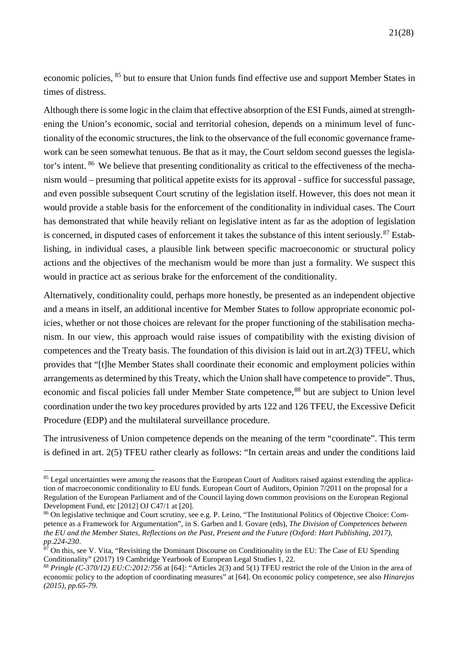economic policies, [85](#page-22-1) but to ensure that Union funds find effective use and support Member States in times of distress.

Although there is some logic in the claim that effective absorption of the ESI Funds, aimed at strengthening the Union's economic, social and territorial cohesion, depends on a minimum level of functionality of the economic structures, the link to the observance of the full economic governance framework can be seen somewhat tenuous. Be that as it may, the Court seldom second guesses the legislator's intent. [86](#page-22-2) We believe that presenting conditionality as critical to the effectiveness of the mechanism would – presuming that political appetite exists for its approval - suffice for successful passage, and even possible subsequent Court scrutiny of the legislation itself. However, this does not mean it would provide a stable basis for the enforcement of the conditionality in individual cases. The Court has demonstrated that while heavily reliant on legislative intent as far as the adoption of legislation is concerned, in disputed cases of enforcement it takes the substance of this intent seriously.<sup>[87](#page-22-3)</sup> Establishing, in individual cases, a plausible link between specific macroeconomic or structural policy actions and the objectives of the mechanism would be more than just a formality. We suspect this would in practice act as serious brake for the enforcement of the conditionality.

Alternatively, conditionality could, perhaps more honestly, be presented as an independent objective and a means in itself, an additional incentive for Member States to follow appropriate economic policies, whether or not those choices are relevant for the proper functioning of the stabilisation mechanism. In our view, this approach would raise issues of compatibility with the existing division of competences and the Treaty basis. The foundation of this division is laid out in art.2(3) TFEU, which provides that "[t]he Member States shall coordinate their economic and employment policies within arrangements as determined by this Treaty, which the Union shall have competence to provide". Thus, economic and fiscal policies fall under Member State competence,<sup>[88](#page-22-4)</sup> but are subject to Union level coordination under the two key procedures provided by arts 122 and 126 TFEU, the Excessive Deficit Procedure (EDP) and the multilateral surveillance procedure.

The intrusiveness of Union competence depends on the meaning of the term "coordinate". This term is defined in art. 2(5) TFEU rather clearly as follows: "In certain areas and under the conditions laid

<span id="page-22-1"></span><span id="page-22-0"></span><sup>&</sup>lt;sup>85</sup> Legal uncertainties were among the reasons that the European Court of Auditors raised against extending the application of macroeconomic conditionality to EU funds. European Court of Auditors, Opinion 7/2011 on the proposal for a Regulation of the European Parliament and of the Council laying down common provisions on the European Regional Development Fund, etc [2012] OJ C47/1 at [20].

<span id="page-22-2"></span><sup>&</sup>lt;sup>86</sup> On legislative technique and Court scrutiny, see e.g. P. Leino, "The Institutional Politics of Objective Choice: Competence as a Framework for Argumentation", in S. Garben and I. Govare (eds), *The Division of Competences between the EU and the Member States, Reflections on the Past, Present and the Future (Oxford: Hart Publishing, 2017), pp*.*224-230*.

<span id="page-22-3"></span><sup>&</sup>lt;sup>87</sup> On this, see V. Vita, "Revisiting the Dominant Discourse on Conditionality in the EU: The Case of EU Spending Conditionality" (2017) 19 Cambridge Yearbook of European Legal Studies 1, 22.

<span id="page-22-4"></span><sup>88</sup> *Pringle (C-370/12) EU:C:2012:756* at [64]*:* "Articles 2(3) and 5(1) TFEU restrict the role of the Union in the area of economic policy to the adoption of coordinating measures" at [64]. On economic policy competence, see also *Hinarejos (2015), pp.65-79.*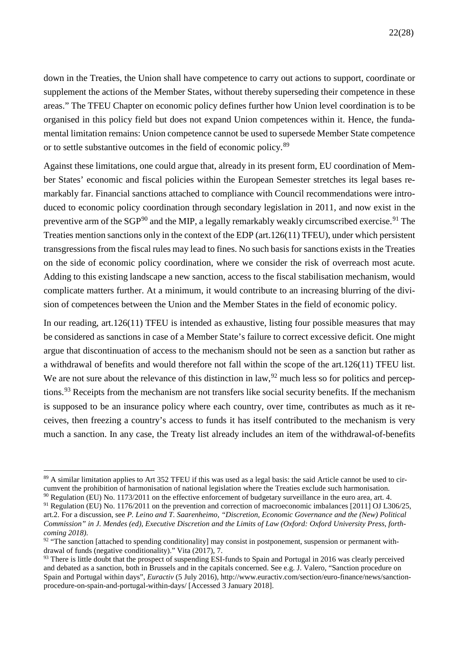down in the Treaties, the Union shall have competence to carry out actions to support, coordinate or supplement the actions of the Member States, without thereby superseding their competence in these areas." The TFEU Chapter on economic policy defines further how Union level coordination is to be organised in this policy field but does not expand Union competences within it. Hence, the fundamental limitation remains: Union competence cannot be used to supersede Member State competence or to settle substantive outcomes in the field of economic policy.[89](#page-23-0)

Against these limitations, one could argue that, already in its present form, EU coordination of Member States' economic and fiscal policies within the European Semester stretches its legal bases remarkably far. Financial sanctions attached to compliance with Council recommendations were introduced to economic policy coordination through secondary legislation in 2011, and now exist in the preventive arm of the SGP<sup>[90](#page-23-1)</sup> and the MIP, a legally remarkably weakly circumscribed exercise.<sup>[91](#page-23-2)</sup> The Treaties mention sanctions only in the context of the EDP (art.126(11) TFEU), under which persistent transgressions from the fiscal rules may lead to fines. No such basis for sanctions exists in the Treaties on the side of economic policy coordination, where we consider the risk of overreach most acute. Adding to this existing landscape a new sanction, access to the fiscal stabilisation mechanism, would complicate matters further. At a minimum, it would contribute to an increasing blurring of the division of competences between the Union and the Member States in the field of economic policy.

In our reading, art.126(11) TFEU is intended as exhaustive, listing four possible measures that may be considered as sanctions in case of a Member State's failure to correct excessive deficit. One might argue that discontinuation of access to the mechanism should not be seen as a sanction but rather as a withdrawal of benefits and would therefore not fall within the scope of the art.126(11) TFEU list. We are not sure about the relevance of this distinction in law,  $92$  much less so for politics and percep-tions.<sup>[93](#page-23-4)</sup> Receipts from the mechanism are not transfers like social security benefits. If the mechanism is supposed to be an insurance policy where each country, over time, contributes as much as it receives, then freezing a country's access to funds it has itself contributed to the mechanism is very much a sanction. In any case, the Treaty list already includes an item of the withdrawal-of-benefits

<span id="page-23-0"></span> <sup>89</sup> A similar limitation applies to Art 352 TFEU if this was used as a legal basis: the said Article cannot be used to circumvent the prohibition of harmonisation of national legislation where the Treaties exclude such harmonisation.  $90$  Regulation (EU) No. 1173/2011 on the effective enforcement of budgetary surveillance in the euro area, art. 4.

<span id="page-23-2"></span><span id="page-23-1"></span><sup>&</sup>lt;sup>91</sup> Regulation (EU) No. 1176/2011 on the prevention and correction of macroeconomic imbalances [2011] OJ L306/25, art.2. For a discussion, see *P. Leino and T. Saarenheimo, "Discretion, Economic Governance and the (New) Political Commission" in J. Mendes (ed), Executive Discretion and the Limits of Law (Oxford: Oxford University Press, forth-*

<span id="page-23-3"></span>*coming* 2018).<br><sup>92</sup> "The sanction [attached to spending conditionality] may consist in postponement, suspension or permanent withdrawal of funds (negative conditionality)." Vita (2017), 7.

<span id="page-23-4"></span><sup>&</sup>lt;sup>93</sup> There is little doubt that the prospect of suspending ESI-funds to Spain and Portugal in 2016 was clearly perceived and debated as a sanction, both in Brussels and in the capitals concerned. See e.g. J. Valero, "Sanction procedure on Spain and Portugal within days", *Euractiv* (5 July 2016), http://www.euractiv.com/section/euro-finance/news/sanctionprocedure-on-spain-and-portugal-within-days/ [Accessed 3 January 2018].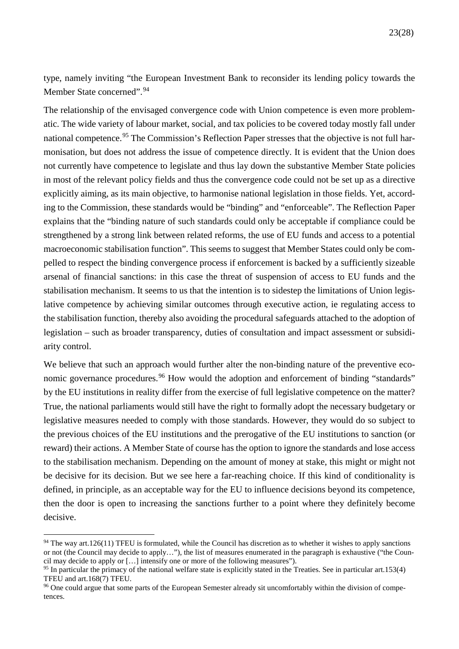type, namely inviting "the European Investment Bank to reconsider its lending policy towards the Member State concerned".<sup>[94](#page-24-0)</sup>

The relationship of the envisaged convergence code with Union competence is even more problematic. The wide variety of labour market, social, and tax policies to be covered today mostly fall under national competence.<sup>[95](#page-24-1)</sup> The Commission's Reflection Paper stresses that the objective is not full harmonisation, but does not address the issue of competence directly. It is evident that the Union does not currently have competence to legislate and thus lay down the substantive Member State policies in most of the relevant policy fields and thus the convergence code could not be set up as a directive explicitly aiming, as its main objective, to harmonise national legislation in those fields. Yet, according to the Commission, these standards would be "binding" and "enforceable". The Reflection Paper explains that the "binding nature of such standards could only be acceptable if compliance could be strengthened by a strong link between related reforms, the use of EU funds and access to a potential macroeconomic stabilisation function". This seems to suggest that Member States could only be compelled to respect the binding convergence process if enforcement is backed by a sufficiently sizeable arsenal of financial sanctions: in this case the threat of suspension of access to EU funds and the stabilisation mechanism. It seems to us that the intention is to sidestep the limitations of Union legislative competence by achieving similar outcomes through executive action, ie regulating access to the stabilisation function, thereby also avoiding the procedural safeguards attached to the adoption of legislation – such as broader transparency, duties of consultation and impact assessment or subsidiarity control.

We believe that such an approach would further alter the non-binding nature of the preventive eco-nomic governance procedures.<sup>[96](#page-24-2)</sup> How would the adoption and enforcement of binding "standards" by the EU institutions in reality differ from the exercise of full legislative competence on the matter? True, the national parliaments would still have the right to formally adopt the necessary budgetary or legislative measures needed to comply with those standards. However, they would do so subject to the previous choices of the EU institutions and the prerogative of the EU institutions to sanction (or reward) their actions. A Member State of course has the option to ignore the standards and lose access to the stabilisation mechanism. Depending on the amount of money at stake, this might or might not be decisive for its decision. But we see here a far-reaching choice. If this kind of conditionality is defined, in principle, as an acceptable way for the EU to influence decisions beyond its competence, then the door is open to increasing the sanctions further to a point where they definitely become decisive.

<span id="page-24-0"></span> $94$  The way art.126(11) TFEU is formulated, while the Council has discretion as to whether it wishes to apply sanctions or not (the Council may decide to apply…"), the list of measures enumerated in the paragraph is exhaustive ("the Council may decide to apply or […] intensify one or more of the following measures").

<span id="page-24-1"></span><sup>95</sup> In particular the primacy of the national welfare state is explicitly stated in the Treaties. See in particular art.153(4) TFEU and art.168(7) TFEU.<br><sup>96</sup> One could argue that some parts of the European Semester already sit uncomfortably within the division of compe-

<span id="page-24-2"></span>tences.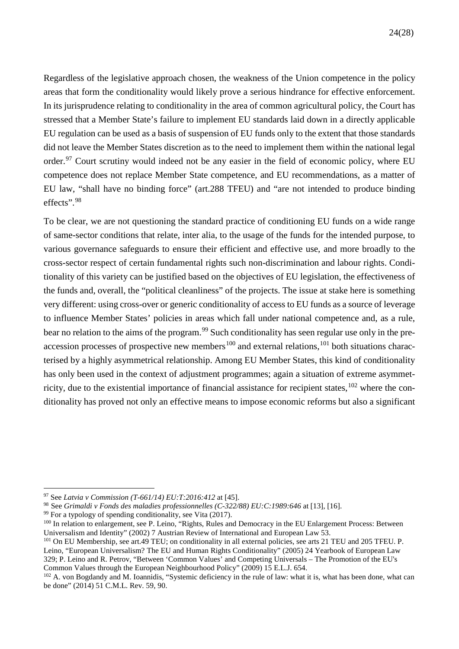Regardless of the legislative approach chosen, the weakness of the Union competence in the policy areas that form the conditionality would likely prove a serious hindrance for effective enforcement. In its jurisprudence relating to conditionality in the area of common agricultural policy, the Court has stressed that a Member State's failure to implement EU standards laid down in a directly applicable EU regulation can be used as a basis of suspension of EU funds only to the extent that those standards did not leave the Member States discretion as to the need to implement them within the national legal order.<sup>[97](#page-25-0)</sup> Court scrutiny would indeed not be any easier in the field of economic policy, where EU competence does not replace Member State competence, and EU recommendations, as a matter of EU law, "shall have no binding force" (art.288 TFEU) and "are not intended to produce binding effects".[98](#page-25-1)

To be clear, we are not questioning the standard practice of conditioning EU funds on a wide range of same-sector conditions that relate, inter alia, to the usage of the funds for the intended purpose, to various governance safeguards to ensure their efficient and effective use, and more broadly to the cross-sector respect of certain fundamental rights such non-discrimination and labour rights. Conditionality of this variety can be justified based on the objectives of EU legislation, the effectiveness of the funds and, overall, the "political cleanliness" of the projects. The issue at stake here is something very different: using cross-over or generic conditionality of access to EU funds as a source of leverage to influence Member States' policies in areas which fall under national competence and, as a rule, bear no relation to the aims of the program.<sup>[99](#page-25-2)</sup> Such conditionality has seen regular use only in the pre-accession processes of prospective new members<sup>[100](#page-25-3)</sup> and external relations,  $^{101}$  $^{101}$  $^{101}$  both situations characterised by a highly asymmetrical relationship. Among EU Member States, this kind of conditionality has only been used in the context of adjustment programmes; again a situation of extreme asymmetricity, due to the existential importance of financial assistance for recipient states,  $102$  where the conditionality has proved not only an effective means to impose economic reforms but also a significant

<span id="page-25-0"></span> <sup>97</sup> See *Latvia v Commission (T-661/14) EU:T:2016:412* at [45].

<span id="page-25-1"></span><sup>98</sup> See *Grimaldi v Fonds des maladies professionnelles (C-322/88) EU:C:1989:646* at [13], [16].

<span id="page-25-2"></span> $99$  For a typology of spending conditionality, see Vita (2017).

<span id="page-25-3"></span><sup>&</sup>lt;sup>100</sup> In relation to enlargement, see P. Leino, "Rights, Rules and Democracy in the EU Enlargement Process: Between Universalism and Identity" (2002) 7 Austrian Review of International and European Law 53.

<span id="page-25-4"></span><sup>&</sup>lt;sup>101</sup> On EU Membership, see art.49 TEU; on conditionality in all external policies, see arts 21 TEU and 205 TFEU. P. Leino, "European Universalism? The EU and Human Rights Conditionality" (2005) 24 Yearbook of European Law 329; P. Leino and R. Petrov, "Between 'Common Values' and Competing Universals – The Promotion of the EU's Common Values through the European Neighbourhood Policy" (2009) 15 E.L.J. 654.

<span id="page-25-5"></span><sup>&</sup>lt;sup>102</sup> A. von Bogdandy and M. Ioannidis, "Systemic deficiency in the rule of law: what it is, what has been done, what can be done" (2014) 51 C.M.L. Rev. 59, 90.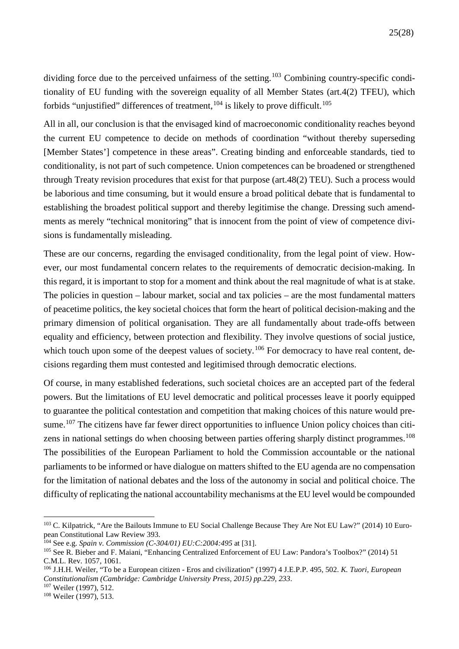dividing force due to the perceived unfairness of the setting.<sup>[103](#page-26-0)</sup> Combining country-specific conditionality of EU funding with the sovereign equality of all Member States (art.4(2) TFEU), which forbids "unjustified" differences of treatment, $104$  is likely to prove difficult.<sup>[105](#page-26-2)</sup>

All in all, our conclusion is that the envisaged kind of macroeconomic conditionality reaches beyond the current EU competence to decide on methods of coordination "without thereby superseding [Member States'] competence in these areas". Creating binding and enforceable standards, tied to conditionality, is not part of such competence. Union competences can be broadened or strengthened through Treaty revision procedures that exist for that purpose (art.48(2) TEU). Such a process would be laborious and time consuming, but it would ensure a broad political debate that is fundamental to establishing the broadest political support and thereby legitimise the change. Dressing such amendments as merely "technical monitoring" that is innocent from the point of view of competence divisions is fundamentally misleading.

These are our concerns, regarding the envisaged conditionality, from the legal point of view. However, our most fundamental concern relates to the requirements of democratic decision-making. In this regard, it is important to stop for a moment and think about the real magnitude of what is at stake. The policies in question – labour market, social and tax policies – are the most fundamental matters of peacetime politics, the key societal choices that form the heart of political decision-making and the primary dimension of political organisation. They are all fundamentally about trade-offs between equality and efficiency, between protection and flexibility. They involve questions of social justice, which touch upon some of the deepest values of society.<sup>[106](#page-26-3)</sup> For democracy to have real content, decisions regarding them must contested and legitimised through democratic elections.

Of course, in many established federations, such societal choices are an accepted part of the federal powers. But the limitations of EU level democratic and political processes leave it poorly equipped to guarantee the political contestation and competition that making choices of this nature would pre-sume.<sup>[107](#page-26-4)</sup> The citizens have far fewer direct opportunities to influence Union policy choices than citi-zens in national settings do when choosing between parties offering sharply distinct programmes.<sup>[108](#page-26-5)</sup> The possibilities of the European Parliament to hold the Commission accountable or the national parliaments to be informed or have dialogue on matters shifted to the EU agenda are no compensation for the limitation of national debates and the loss of the autonomy in social and political choice. The difficulty of replicating the national accountability mechanisms at the EU level would be compounded

<span id="page-26-0"></span><sup>&</sup>lt;sup>103</sup> C. Kilpatrick, "Are the Bailouts Immune to EU Social Challenge Because They Are Not EU Law?" (2014) 10 European Constitutional Law Review 393.

<span id="page-26-1"></span><sup>104</sup> See e.g. *Spain v. Commission (C-304/01) EU:C:2004:495* at [31].

<span id="page-26-2"></span><sup>105</sup> See R. Bieber and F. Maiani, "Enhancing Centralized Enforcement of EU Law: Pandora's Toolbox?" (2014) 51 C.M.L. Rev. 1057, 1061.

<span id="page-26-3"></span><sup>106</sup> J.H.H. Weiler, "To be a European citizen - Eros and civilization" (1997) 4 J.E.P.P. 495, 502. *K. Tuori, European Constitutionalism (Cambridge: Cambridge University Press, 2015) pp.229, 233*.

<span id="page-26-4"></span><sup>107</sup> Weiler (1997), 512.

<span id="page-26-5"></span><sup>108</sup> Weiler (1997), 513.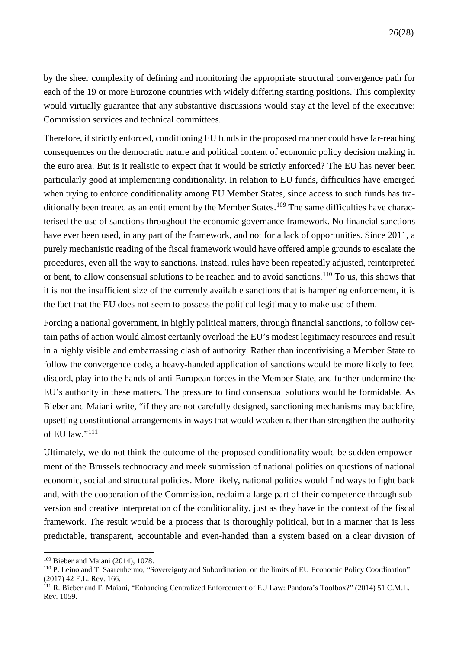by the sheer complexity of defining and monitoring the appropriate structural convergence path for each of the 19 or more Eurozone countries with widely differing starting positions. This complexity would virtually guarantee that any substantive discussions would stay at the level of the executive: Commission services and technical committees.

Therefore, if strictly enforced, conditioning EU funds in the proposed manner could have far-reaching consequences on the democratic nature and political content of economic policy decision making in the euro area. But is it realistic to expect that it would be strictly enforced? The EU has never been particularly good at implementing conditionality. In relation to EU funds, difficulties have emerged when trying to enforce conditionality among EU Member States, since access to such funds has tra-ditionally been treated as an entitlement by the Member States.<sup>[109](#page-27-0)</sup> The same difficulties have characterised the use of sanctions throughout the economic governance framework. No financial sanctions have ever been used, in any part of the framework, and not for a lack of opportunities. Since 2011, a purely mechanistic reading of the fiscal framework would have offered ample grounds to escalate the procedures, even all the way to sanctions. Instead, rules have been repeatedly adjusted, reinterpreted or bent, to allow consensual solutions to be reached and to avoid sanctions.<sup>[110](#page-27-1)</sup> To us, this shows that it is not the insufficient size of the currently available sanctions that is hampering enforcement, it is the fact that the EU does not seem to possess the political legitimacy to make use of them.

Forcing a national government, in highly political matters, through financial sanctions, to follow certain paths of action would almost certainly overload the EU's modest legitimacy resources and result in a highly visible and embarrassing clash of authority. Rather than incentivising a Member State to follow the convergence code, a heavy-handed application of sanctions would be more likely to feed discord, play into the hands of anti-European forces in the Member State, and further undermine the EU's authority in these matters. The pressure to find consensual solutions would be formidable. As Bieber and Maiani write, "if they are not carefully designed, sanctioning mechanisms may backfire, upsetting constitutional arrangements in ways that would weaken rather than strengthen the authority of EU law." $^{111}$  $^{111}$  $^{111}$ 

Ultimately, we do not think the outcome of the proposed conditionality would be sudden empowerment of the Brussels technocracy and meek submission of national polities on questions of national economic, social and structural policies. More likely, national polities would find ways to fight back and, with the cooperation of the Commission, reclaim a large part of their competence through subversion and creative interpretation of the conditionality, just as they have in the context of the fiscal framework. The result would be a process that is thoroughly political, but in a manner that is less predictable, transparent, accountable and even-handed than a system based on a clear division of

<span id="page-27-0"></span> <sup>109</sup> Bieber and Maiani (2014), 1078.

<span id="page-27-1"></span><sup>110</sup> P. Leino and T. Saarenheimo, "Sovereignty and Subordination: on the limits of EU Economic Policy Coordination" (2017) 42 E.L. Rev. 166.

<span id="page-27-2"></span><sup>111</sup> R. Bieber and F. Maiani, "Enhancing Centralized Enforcement of EU Law: Pandora's Toolbox?" (2014) 51 C.M.L. Rev. 1059.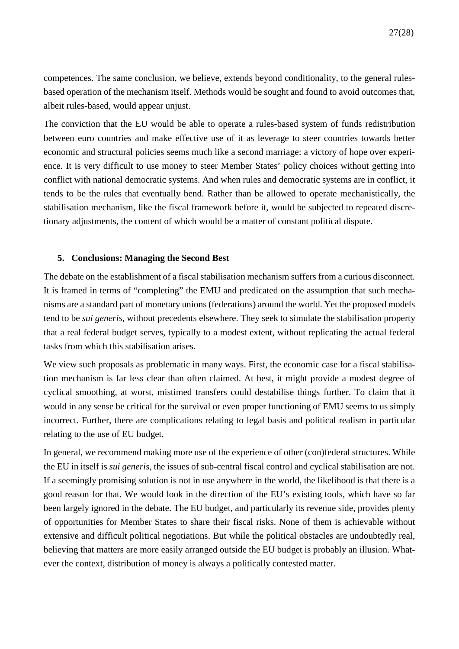competences. The same conclusion, we believe, extends beyond conditionality, to the general rulesbased operation of the mechanism itself. Methods would be sought and found to avoid outcomes that, albeit rules-based, would appear unjust.

The conviction that the EU would be able to operate a rules-based system of funds redistribution between euro countries and make effective use of it as leverage to steer countries towards better economic and structural policies seems much like a second marriage: a victory of hope over experience. It is very difficult to use money to steer Member States' policy choices without getting into conflict with national democratic systems. And when rules and democratic systems are in conflict, it tends to be the rules that eventually bend. Rather than be allowed to operate mechanistically, the stabilisation mechanism, like the fiscal framework before it, would be subjected to repeated discretionary adjustments, the content of which would be a matter of constant political dispute.

### **5. Conclusions: Managing the Second Best**

The debate on the establishment of a fiscal stabilisation mechanism suffers from a curious disconnect. It is framed in terms of "completing" the EMU and predicated on the assumption that such mechanisms are a standard part of monetary unions (federations) around the world. Yet the proposed models tend to be *sui generis*, without precedents elsewhere. They seek to simulate the stabilisation property that a real federal budget serves, typically to a modest extent, without replicating the actual federal tasks from which this stabilisation arises.

We view such proposals as problematic in many ways. First, the economic case for a fiscal stabilisation mechanism is far less clear than often claimed. At best, it might provide a modest degree of cyclical smoothing, at worst, mistimed transfers could destabilise things further. To claim that it would in any sense be critical for the survival or even proper functioning of EMU seems to us simply incorrect. Further, there are complications relating to legal basis and political realism in particular relating to the use of EU budget.

In general, we recommend making more use of the experience of other (con)federal structures. While the EU in itself is *sui generis*, the issues of sub-central fiscal control and cyclical stabilisation are not. If a seemingly promising solution is not in use anywhere in the world, the likelihood is that there is a good reason for that. We would look in the direction of the EU's existing tools, which have so far been largely ignored in the debate. The EU budget, and particularly its revenue side, provides plenty of opportunities for Member States to share their fiscal risks. None of them is achievable without extensive and difficult political negotiations. But while the political obstacles are undoubtedly real, believing that matters are more easily arranged outside the EU budget is probably an illusion. Whatever the context, distribution of money is always a politically contested matter.